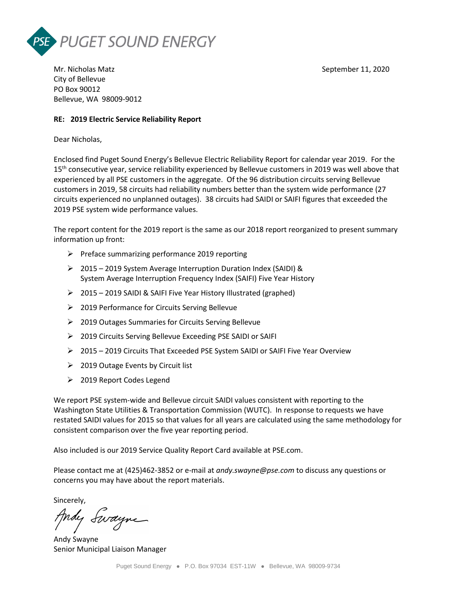



Mr. Nicholas Matz September 11, 2020 City of Bellevue PO Box 90012 Bellevue, WA 98009-9012

## **RE: 2019 Electric Service Reliability Report**

Dear Nicholas,

Enclosed find Puget Sound Energy's Bellevue Electric Reliability Report for calendar year 2019. For the 15<sup>th</sup> consecutive year, service reliability experienced by Bellevue customers in 2019 was well above that experienced by all PSE customers in the aggregate. Of the 96 distribution circuits serving Bellevue customers in 2019, 58 circuits had reliability numbers better than the system wide performance (27 circuits experienced no unplanned outages). 38 circuits had SAIDI or SAIFI figures that exceeded the 2019 PSE system wide performance values.

The report content for the 2019 report is the same as our 2018 report reorganized to present summary information up front:

- $\triangleright$  Preface summarizing performance 2019 reporting
- 2015 2019 System Average Interruption Duration Index (SAIDI) & System Average Interruption Frequency Index (SAIFI) Five Year History
- 2015 2019 SAIDI & SAIFI Five Year History Illustrated (graphed)
- 2019 Performance for Circuits Serving Bellevue
- 2019 Outages Summaries for Circuits Serving Bellevue
- 2019 Circuits Serving Bellevue Exceeding PSE SAIDI or SAIFI
- 2015 2019 Circuits That Exceeded PSE System SAIDI or SAIFI Five Year Overview
- $\geq$  2019 Outage Events by Circuit list
- 2019 Report Codes Legend

We report PSE system-wide and Bellevue circuit SAIDI values consistent with reporting to the Washington State Utilities & Transportation Commission (WUTC). In response to requests we have restated SAIDI values for 2015 so that values for all years are calculated using the same methodology for consistent comparison over the five year reporting period.

Also included is our 2019 Service Quality Report Card available at PSE.com.

Please contact me at (425)462-3852 or e-mail at *andy.swayne@pse.com* to discuss any questions or concerns you may have about the report materials.

Sincerely,

Andy Swayne

Andy Swayne Senior Municipal Liaison Manager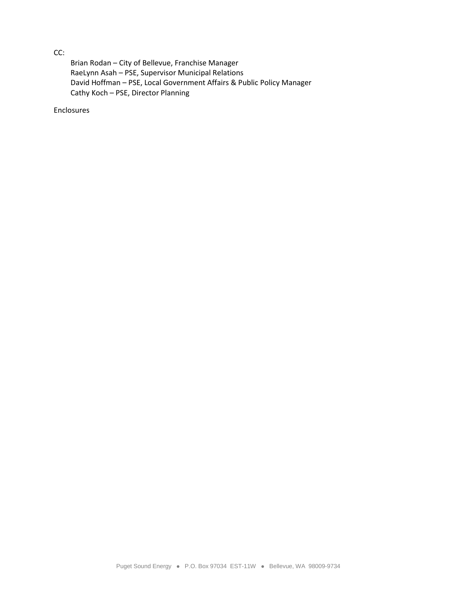CC:

Brian Rodan – City of Bellevue, Franchise Manager RaeLynn Asah – PSE, Supervisor Municipal Relations David Hoffman – PSE, Local Government Affairs & Public Policy Manager Cathy Koch – PSE, Director Planning

Enclosures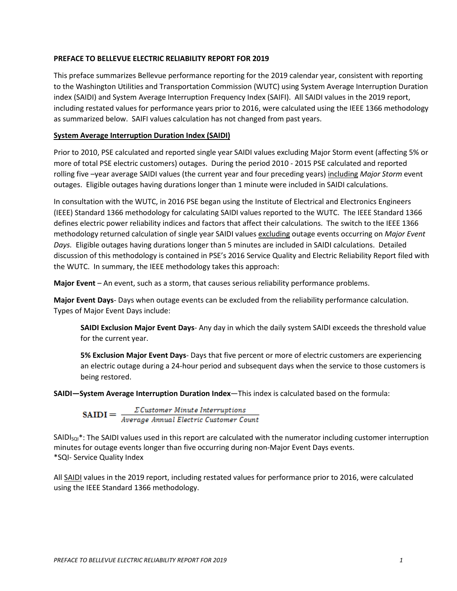## **PREFACE TO BELLEVUE ELECTRIC RELIABILITY REPORT FOR 2019**

This preface summarizes Bellevue performance reporting for the 2019 calendar year, consistent with reporting to the Washington Utilities and Transportation Commission (WUTC) using System Average Interruption Duration index (SAIDI) and System Average Interruption Frequency Index (SAIFI). All SAIDI values in the 2019 report, including restated values for performance years prior to 2016, were calculated using the IEEE 1366 methodology as summarized below. SAIFI values calculation has not changed from past years.

## **System Average Interruption Duration Index (SAIDI)**

Prior to 2010, PSE calculated and reported single year SAIDI values excluding Major Storm event (affecting 5% or more of total PSE electric customers) outages. During the period 2010 - 2015 PSE calculated and reported rolling five –year average SAIDI values (the current year and four preceding years) including *Major Storm* event outages. Eligible outages having durations longer than 1 minute were included in SAIDI calculations.

In consultation with the WUTC, in 2016 PSE began using the Institute of Electrical and Electronics Engineers (IEEE) Standard 1366 methodology for calculating SAIDI values reported to the WUTC. The IEEE Standard 1366 defines electric power reliability indices and factors that affect their calculations. The switch to the IEEE 1366 methodology returned calculation of single year SAIDI values excluding outage events occurring on *Major Event Days.* Eligible outages having durations longer than 5 minutes are included in SAIDI calculations. Detailed discussion of this methodology is contained in PSE's 2016 Service Quality and Electric Reliability Report filed with the WUTC. In summary, the IEEE methodology takes this approach:

**Major Event** – An event, such as a storm, that causes serious reliability performance problems.

**Major Event Days**- Days when outage events can be excluded from the reliability performance calculation. Types of Major Event Days include:

**SAIDI Exclusion Major Event Days**- Any day in which the daily system SAIDI exceeds the threshold value for the current year.

**5% Exclusion Major Event Days**- Days that five percent or more of electric customers are experiencing an electric outage during a 24-hour period and subsequent days when the service to those customers is being restored.

**SAIDI—System Average Interruption Duration Index**—This index is calculated based on the formula:

 $\textbf{SAIDI} = \frac{\sum \textit{Customer Minute Interruptions}}{\textit{Average Annual Electric Customer Count}}$ 

 $SAlD<sub>sol</sub><sup>*</sup>$ : The SAIDI values used in this report are calculated with the numerator including customer interruption minutes for outage events longer than five occurring during non-Major Event Days events. \*SQI- Service Quality Index

All SAIDI values in the 2019 report, including restated values for performance prior to 2016, were calculated using the IEEE Standard 1366 methodology.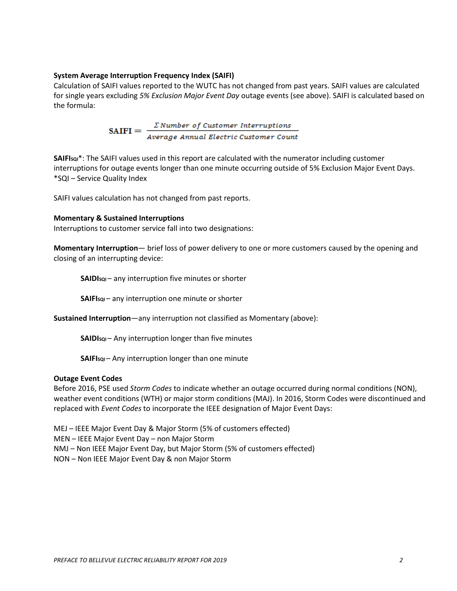## **System Average Interruption Frequency Index (SAIFI)**

Calculation of SAIFI values reported to the WUTC has not changed from past years. SAIFI values are calculated for single years excluding *5% Exclusion Major Event Day* outage events (see above). SAIFI is calculated based on the formula:

SAIFI =  $\frac{\sum Number\ of\ Customer\ Internifoldsymbol{}}{Average\ Annual\ Electric\ Customer\ Count}$ 

**SAIFISQI**\*: The SAIFI values used in this report are calculated with the numerator including customer interruptions for outage events longer than one minute occurring outside of 5% Exclusion Major Event Days. \*SQI – Service Quality Index

SAIFI values calculation has not changed from past reports.

#### **Momentary & Sustained Interruptions**

Interruptions to customer service fall into two designations:

**Momentary Interruption**— brief loss of power delivery to one or more customers caused by the opening and closing of an interrupting device:

**SAIDIsQI** – any interruption five minutes or shorter

**SAIFIsqI** – any interruption one minute or shorter

**Sustained Interruption**—any interruption not classified as Momentary (above):

**SAIDIsqi** – Any interruption longer than five minutes

**SAIFIsqi** – Any interruption longer than one minute

#### **Outage Event Codes**

Before 2016, PSE used *Storm Codes* to indicate whether an outage occurred during normal conditions (NON), weather event conditions (WTH) or major storm conditions (MAJ). In 2016, Storm Codes were discontinued and replaced with *Event Codes* to incorporate the IEEE designation of Major Event Days:

MEJ – IEEE Major Event Day & Major Storm (5% of customers effected)

MEN – IEEE Major Event Day – non Major Storm

NMJ – Non IEEE Major Event Day, but Major Storm (5% of customers effected)

NON – Non IEEE Major Event Day & non Major Storm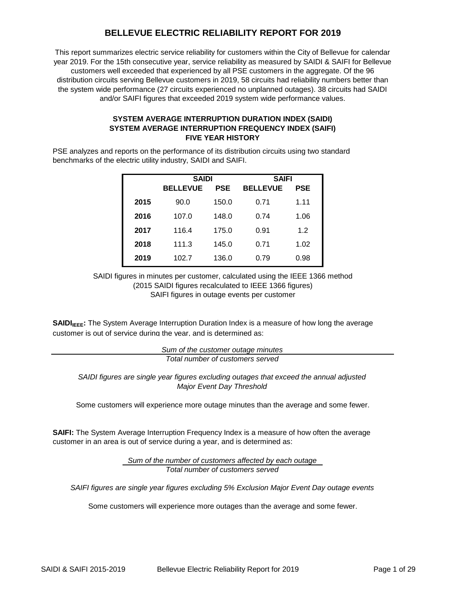# **BELLEVUE ELECTRIC RELIABILITY REPORT FOR 2019**

This report summarizes electric service reliability for customers within the City of Bellevue for calendar year 2019. For the 15th consecutive year, service reliability as measured by SAIDI & SAIFI for Bellevue customers well exceeded that experienced by all PSE customers in the aggregate. Of the 96 distribution circuits serving Bellevue customers in 2019, 58 circuits had reliability numbers better than the system wide performance (27 circuits experienced no unplanned outages). 38 circuits had SAIDI and/or SAIFI figures that exceeded 2019 system wide performance values.

## **SYSTEM AVERAGE INTERRUPTION DURATION INDEX (SAIDI) SYSTEM AVERAGE INTERRUPTION FREQUENCY INDEX (SAIFI) FIVE YEAR HISTORY**

PSE analyzes and reports on the performance of its distribution circuits using two standard benchmarks of the electric utility industry, SAIDI and SAIFI.

|      | <b>SAIDI</b>    |       | <b>SAIFI</b>    |            |  |  |
|------|-----------------|-------|-----------------|------------|--|--|
|      | <b>BELLEVUE</b> | PSE   | <b>BELLEVUE</b> | <b>PSE</b> |  |  |
| 2015 | 90.0            | 150.0 | 0.71            | 1.11       |  |  |
| 2016 | 107.0           | 148.0 | 0.74            | 1.06       |  |  |
| 2017 | 116.4           | 175.0 | 0.91            | 1.2        |  |  |
| 2018 | 111.3           | 145.0 | 0.71            | 1.02       |  |  |
| 2019 | 102.7           | 136.0 | 0.79            | 0.98       |  |  |

SAIFI figures in outage events per customer SAIDI figures in minutes per customer, calculated using the IEEE 1366 method (2015 SAIDI figures recalculated to IEEE 1366 figures)

**SAIDI<sub>IEEE</sub>:** The System Average Interruption Duration Index is a measure of how long the average customer is out of service during the year, and is determined as:

> *Total number of customers served Sum of the customer outage minutes*

*SAIDI figures are single year figures excluding outages that exceed the annual adjusted Major Event Day Threshold*

Some customers will experience more outage minutes than the average and some fewer.

**SAIFI:** The System Average Interruption Frequency Index is a measure of how often the average customer in an area is out of service during a year, and is determined as:

> *Sum of the number of customers affected by each outage Total number of customers served*

*SAIFI figures are single year figures excluding 5% Exclusion Major Event Day outage events*

Some customers will experience more outages than the average and some fewer.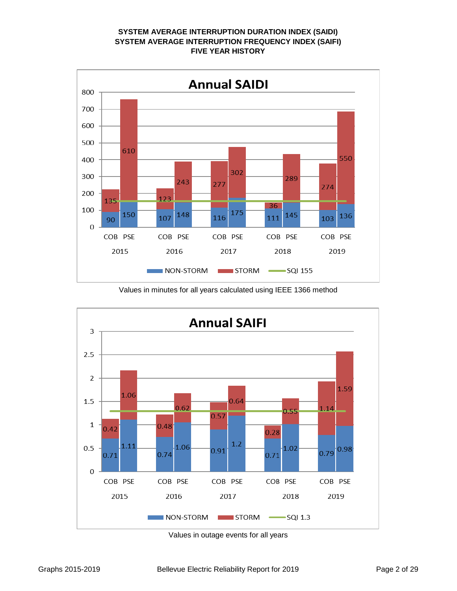# **SYSTEM AVERAGE INTERRUPTION DURATION INDEX (SAIDI) SYSTEM AVERAGE INTERRUPTION FREQUENCY INDEX (SAIFI) FIVE YEAR HISTORY**



Values in minutes for all years calculated using IEEE 1366 method



Values in outage events for all years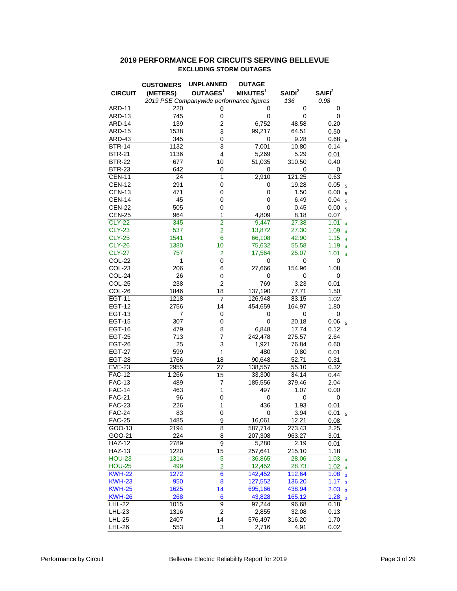## **2019 PERFORMANCE FOR CIRCUITS SERVING BELLEVUE EXCLUDING STORM OUTAGES**

|                | <b>CUSTOMERS</b> | <b>UNPLANNED</b>                         | <b>OUTAGE</b>        |                    |                                                   |
|----------------|------------------|------------------------------------------|----------------------|--------------------|---------------------------------------------------|
| <b>CIRCUIT</b> | (METERS)         | OUTAGES <sup>1</sup>                     | MINUTES <sup>1</sup> | SAIDI <sup>2</sup> | SAIFI <sup>2</sup>                                |
|                |                  | 2019 PSE Companywide performance figures |                      | 136                | 0.98                                              |
| <b>ARD-11</b>  | 220              | 0                                        | 0                    | 0                  | 0                                                 |
| ARD-13         | 745              | 0                                        | 0                    | 0                  | 0                                                 |
| ARD-14         | 139              | $\overline{c}$                           | 6,752                | 48.58              | 0.20                                              |
| <b>ARD-15</b>  | 1538             | 3                                        | 99,217               | 64.51              | 0.50                                              |
| ARD-43         | 345              | $\mathbf 0$                              | 0                    | 9.28               | 0.68 <sub>5</sub>                                 |
| <b>BTR-14</b>  | 1132             | $\overline{3}$                           | 7,001                | 10.80              | 0.14                                              |
| <b>BTR-21</b>  | 1136             | 4                                        | 5,269                | 5.29               | 0.01                                              |
| <b>BTR-22</b>  | 677              | 10                                       | 51,035               | 310.50             | 0.40                                              |
| <b>BTR-23</b>  | 642              | 0                                        | 0                    | 0                  | 0                                                 |
| <b>CEN-11</b>  | 24               | $\mathbf{1}$                             | 2,910                | 121.25             | 0.63                                              |
| <b>CEN-12</b>  | 291              | 0                                        | 0                    | 19.28              | 0.05<br>5                                         |
| <b>CEN-13</b>  | 471              | 0                                        | 0                    | 1.50               | 0.00<br>$\overline{5}$                            |
| <b>CEN-14</b>  | 45               | 0                                        | 0                    | 6.49               | 0.04<br>5                                         |
| <b>CEN-22</b>  | 505              | 0                                        | 0                    | 0.45               | 0.00<br>5                                         |
| <b>CEN-25</b>  | 964              | 1                                        | 4,809                | 8.18               | 0.07                                              |
| <b>CLY-22</b>  | 345              | $\overline{2}$                           | 9,447                | 27.38              | 1.01<br>$\overline{4}$                            |
| <b>CLY-23</b>  | 537              | $\overline{2}$                           | 13,872               | 27.30              | 1.09<br>$\overline{4}$                            |
| <b>CLY-25</b>  | 1541             | 6                                        | 66,108               | 42.90              | 1.15<br>$\overline{4}$                            |
| <b>CLY-26</b>  | 1380             | 10                                       | 75,632               | 55.58              | 1.19<br>$\overline{4}$                            |
| <b>CLY-27</b>  | 757              | $\overline{2}$                           | 17,564               | 25.07              | 1.01<br>$\overline{4}$                            |
| COL-22         | 1                | 0                                        | 0                    | 0                  | 0                                                 |
| COL-23         | 206              | 6                                        | 27,666               | 154.96             | 1.08                                              |
| COL-24         | 26               | 0                                        | 0                    | 0                  | 0                                                 |
| COL-25         | 238              | $\overline{\mathbf{c}}$                  | 769                  | 3.23               | 0.01                                              |
| COL-26         | 1846             | 18                                       | 137,190              | 77.71              | 1.50                                              |
| <b>EGT-11</b>  | 1218             | 7                                        | 126,948              | 83.15              | 1.02                                              |
| <b>EGT-12</b>  | 2756             | 14                                       | 454,659              | 164.97             | 1.80                                              |
| <b>EGT-13</b>  | 7                | 0                                        | 0                    | 0                  | 0                                                 |
| <b>EGT-15</b>  | 307              | 0                                        | $\mathbf 0$          | 20.18              | 0.06<br>5                                         |
| <b>EGT-16</b>  | 479              | 8                                        | 6,848                | 17.74              | 0.12                                              |
| <b>EGT-25</b>  | 713              | 7                                        | 242,478              | 275.57             | 2.64                                              |
| <b>EGT-26</b>  | 25               | 3                                        | 1,921                | 76.84              | 0.60                                              |
| <b>EGT-27</b>  | 599              | 1                                        | 480                  | 0.80               | 0.01                                              |
| <b>EGT-28</b>  | 1766             | 18                                       | 90,648               | 52.71              | 0.31                                              |
| <b>EVE-23</b>  | 2955             | 27                                       | 138,557              | 55.10              | 0.32                                              |
| <b>FAC-12</b>  | 1,266            | 15                                       | 33,300               | 34.14              | 0.44                                              |
| <b>FAC-13</b>  | 489              | 7                                        | 185,556              | 379.46             | 2.04                                              |
| <b>FAC-14</b>  | 463              | 1                                        | 497                  | 1.07               | 0.00                                              |
| <b>FAC-21</b>  | 96               | 0                                        | 0                    | 0                  | 0                                                 |
| <b>FAC-23</b>  | 226              | 1                                        | 436                  | 1.93               | 0.01                                              |
| <b>FAC-24</b>  | 83               | 0                                        | 0                    | 3.94               | 0.01                                              |
| <b>FAC-25</b>  | 1485             | 9                                        | 16,061               | 12.21              | 0.08                                              |
| GOO-13         | 2194             | 8                                        | 587,714              | 273.43             | 2.25                                              |
| GOO-21         | 224              | 8                                        | 207,308              | 963.27             | 3.01                                              |
| <b>HAZ-12</b>  | 2789             | 9                                        | 5,280                | 2.19               | 0.01                                              |
| <b>HAZ-13</b>  | 1220             | 15                                       | 257,641              | 215.10             | 1.18                                              |
| <b>HOU-23</b>  | 1314             | $\overline{5}$                           | 36,865               | 28.06              | 1.03<br>$\overline{4}$                            |
| <b>HOU-25</b>  | 499              | $\overline{2}$                           | 12,452               | 28.73              | 1.02                                              |
| <b>KWH-22</b>  | 1272             | $\overline{6}$                           | 142,452              | 112.64             | $\overline{4}$<br>1.08<br>$\overline{\mathbf{3}}$ |
| <b>KWH-23</b>  | 950              | 8                                        | 127,552              | 136.20             | 1.17<br>3                                         |
| <b>KWH-25</b>  | 1625             | 14                                       | 695,166              | 438.94             | 2.03<br>$\overline{3}$                            |
| <b>KWH-26</b>  | 268              | 6                                        | 43,828               | 165.12             | 1.28<br>$\overline{\mathbf{3}}$                   |
| <b>LHL-22</b>  | 1015             | 9                                        | 97,244               | 96.68              | 0.18                                              |
| LHL-23         | 1316             | $\overline{\mathbf{c}}$                  | 2,855                | 32.08              | 0.13                                              |
| <b>LHL-25</b>  | 2407             | 14                                       | 576,497              | 316.20             | 1.70                                              |
| <b>LHL-26</b>  | 553              | 3                                        | 2,716                | 4.91               | 0.02                                              |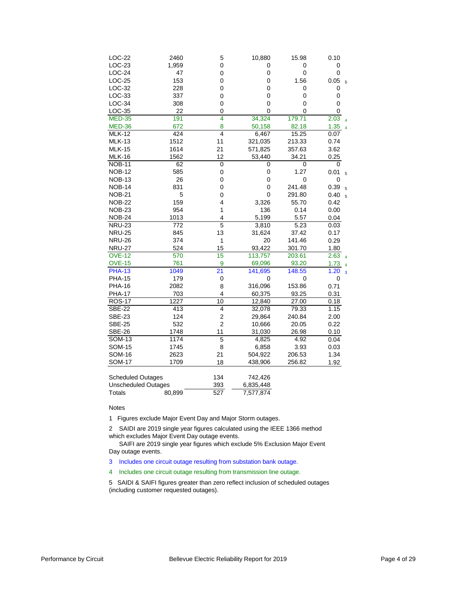| LOC-22                     | 2460             | 5                       | 10,880      | 15.98            | 0.10                            |
|----------------------------|------------------|-------------------------|-------------|------------------|---------------------------------|
| LOC-23                     | 1,959            | 0                       | 0           | 0                | 0                               |
| $LOC-24$                   | 47               | 0                       | 0           | 0                | 0                               |
| LOC-25                     | 153              | 0                       | 0           | 1.56             | 0.05<br>5                       |
| LOC-32                     | 228              | 0                       | 0           | 0                | 0                               |
| LOC-33                     | 337              | 0                       | 0           | 0                | 0                               |
| $LOC-34$                   | 308              | $\mathbf 0$             | $\mathbf 0$ | 0                | 0                               |
| <b>LOC-35</b>              | 22               | 0                       | $\Omega$    | 0                | 0                               |
| <b>MED-35</b>              | 191              | 4                       | 34,324      | 179.71           | 2.03                            |
| <b>MED-36</b>              | 672              | 8                       | 50,158      | 82.18            | 1.35                            |
| <b>MLK-12</b>              | 424              | 4                       | 6,467       | 15.25            | 0.07                            |
| <b>MLK-13</b>              | 1512             | 11                      | 321,035     | 213.33           | 0.74                            |
| <b>MLK-15</b>              | 1614             | 21                      | 571,825     | 357.63           | 3.62                            |
| <b>MLK-16</b>              | 1562             | 12                      | 53,440      | 34.21            | 0.25                            |
| <b>NOB-11</b>              | 62               | $\mathsf 0$             | 0           | 0                | 0                               |
| <b>NOB-12</b>              | 585              | 0                       | $\mathbf 0$ | 1.27             | 0.01<br>5                       |
| <b>NOB-13</b>              | 26               | 0                       | $\mathbf 0$ | $\boldsymbol{0}$ | 0                               |
| <b>NOB-14</b>              | 831              | 0                       | 0           | 241.48           | 0.39<br>5                       |
| <b>NOB-21</b>              | 5                | 0                       | 0           | 291.80           | 0.40<br>5                       |
| <b>NOB-22</b>              | 159              | 4                       | 3,326       | 55.70            | 0.42                            |
| <b>NOB-23</b>              | 954              | 1                       | 136         | 0.14             | 0.00                            |
| <b>NOB-24</b>              | 1013             | 4                       | 5,199       | 5.57             | 0.04                            |
| <b>NRU-23</b>              | $\overline{772}$ | 5                       | 3,810       | 5.23             | 0.03                            |
| <b>NRU-25</b>              | 845              | 13                      | 31,624      | 37.42            | 0.17                            |
| <b>NRU-26</b>              | 374              | 1                       | 20          | 141.46           | 0.29                            |
| <b>NRU-27</b>              | 524              | 15                      | 93,422      | 301.70           | 1.80                            |
| <b>OVE-12</b>              | 570              | $\overline{15}$         | 113,757     | 203.61           | 2.63                            |
| <b>OVE-15</b>              | 761              | 9                       | 69,096      | 93.20            | 1.73                            |
| <b>PHA-13</b>              | 1049             | 21                      | 141,695     | 148.55           | 1.20<br>$\overline{\mathbf{3}}$ |
| <b>PHA-15</b>              | 179              | 0                       | 0           | 0                | 0                               |
| <b>PHA-16</b>              | 2082             | 8                       | 316,096     | 153.86           | 0.71                            |
| <b>PHA-17</b>              | 703              | 4                       | 60,375      | 93.25            | 0.31                            |
| <b>ROS-17</b>              | 1227             | 10                      | 12,840      | 27.00            | 0.18                            |
| <b>SBE-22</b>              | 413              | 4                       | 32,078      | 79.33            | 1.15                            |
| <b>SBE-23</b>              | 124              | $\overline{\mathbf{c}}$ | 29,864      | 240.84           | 2.00                            |
| <b>SBE-25</b>              | 532              | $\overline{2}$          | 10,666      | 20.05            | 0.22                            |
| <b>SBE-26</b>              | 1748             | 11                      | 31,030      | 26.98            | 0.10                            |
| <b>SOM-13</b>              | 1174             | $\overline{5}$          | 4,825       | 4.92             | 0.04                            |
| <b>SOM-15</b>              | 1745             | 8                       | 6,858       | 3.93             | 0.03                            |
| <b>SOM-16</b>              | 2623             | 21                      | 504,922     | 206.53           | 1.34                            |
| <b>SOM-17</b>              | 1709             | 18                      | 438,906     | 256.82           | 1.92                            |
|                            |                  |                         |             |                  |                                 |
| <b>Scheduled Outages</b>   |                  | 134                     | 742,426     |                  |                                 |
| <b>Unscheduled Outages</b> |                  | 393                     | 6,835,448   |                  |                                 |
| Totals                     | 80.899           | 527                     | 7.577.874   |                  |                                 |

Notes

1 Figures exclude Major Event Day and Major Storm outages.

2 SAIDI are 2019 single year figures calculated using the IEEE 1366 method which excludes Major Event Day outage events.

 SAIFI are 2019 single year figures which exclude 5% Exclusion Major Event Day outage events.

- 3 Includes one circuit outage resulting from substation bank outage.
- 4 Includes one circuit outage resulting from transmission line outage.

5 SAIDI & SAIFI figures greater than zero reflect inclusion of scheduled outages (including customer requested outages).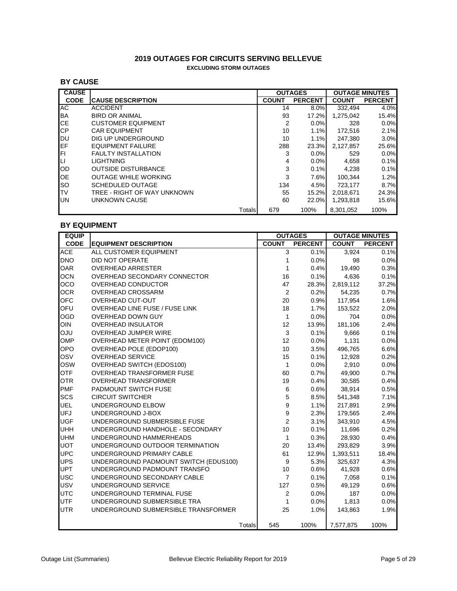## **2019 OUTAGES FOR CIRCUITS SERVING BELLEVUE EXCLUDING STORM OUTAGES**

## **BY CAUSE**

| <b>CAUSE</b> |                             |        | <b>OUTAGES</b> | <b>OUTAGE MINUTES</b> |              |                |
|--------------|-----------------------------|--------|----------------|-----------------------|--------------|----------------|
| <b>CODE</b>  | <b>CAUSE DESCRIPTION</b>    |        | <b>COUNT</b>   | <b>PERCENT</b>        | <b>COUNT</b> | <b>PERCENT</b> |
| АC           | <b>ACCIDENT</b>             |        | 14             | 8.0%                  | 332.494      | 4.0%           |
| <b>BA</b>    | <b>BIRD OR ANIMAL</b>       |        | 93             | 17.2%                 | 1,275,042    | 15.4%          |
| <b>CE</b>    | <b>CUSTOMER EQUIPMENT</b>   |        | 2              | $0.0\%$               | 328          | 0.0%           |
| <b>CP</b>    | <b>CAR EQUIPMENT</b>        |        | 10             | 1.1%                  | 172.516      | 2.1%           |
| IDU          | DIG UP UNDERGROUND          |        | 10             | 1.1%                  | 247.380      | 3.0%           |
| <b>IEF</b>   | <b>EQUIPMENT FAILURE</b>    |        | 288            | 23.3%                 | 2.127.857    | 25.6%          |
| IFI.         | <b>FAULTY INSTALLATION</b>  |        | 3              | $0.0\%$               | 529          | 0.0%           |
| $\Box$       | <b>LIGHTNING</b>            |        | 4              | $0.0\%$               | 4.658        | 0.1%           |
| OD           | <b>OUTSIDE DISTURBANCE</b>  |        | 3              | 0.1%                  | 4.238        | 0.1%           |
| OE           | <b>OUTAGE WHILE WORKING</b> |        | 3              | 7.6%                  | 100.344      | 1.2%           |
| <b>SO</b>    | SCHEDULED OUTAGE            |        | 134            | 4.5%                  | 723.177      | 8.7%           |
| <b>TV</b>    | TREE - RIGHT OF WAY UNKNOWN |        | 55             | 15.2%l                | 2.018.671    | 24.3%          |
| <b>UN</b>    | UNKNOWN CAUSE               |        | 60             | 22.0%                 | 1,293,818    | 15.6%          |
|              |                             | Totals | 679            | 100%                  | 8.301.052    | 100%           |

## **BY EQUIPMENT**

| <b>EQUIP</b> |                                       |                  | <b>OUTAGES</b> |              | <b>OUTAGE MINUTES</b> |  |  |
|--------------|---------------------------------------|------------------|----------------|--------------|-----------------------|--|--|
| <b>CODE</b>  | <b>EQUIPMENT DESCRIPTION</b>          | <b>COUNT</b>     | <b>PERCENT</b> | <b>COUNT</b> | <b>PERCENT</b>        |  |  |
| <b>ACE</b>   | ALL CUSTOMER EQUIPMENT                | 3                | 0.1%           | 3,924        | 0.1%                  |  |  |
| <b>DNO</b>   | DID NOT OPERATE                       | 1                | 0.0%           | 98           | 0.0%                  |  |  |
| <b>OAR</b>   | <b>OVERHEAD ARRESTER</b>              | 1                | 0.4%           | 19,490       | 0.3%                  |  |  |
| <b>OCN</b>   | OVERHEAD SECONDARY CONNECTOR          | 16               | 0.1%           | 4,636        | 0.1%                  |  |  |
| OCO          | OVERHEAD CONDUCTOR                    | 47               | 28.3%          | 2,819,112    | 37.2%                 |  |  |
| <b>OCR</b>   | <b>OVERHEAD CROSSARM</b>              | 2                | 0.2%           | 54.235       | 0.7%                  |  |  |
| <b>OFC</b>   | <b>OVERHEAD CUT-OUT</b>               | 20               | 0.9%           | 117,954      | 1.6%                  |  |  |
| OFU          | OVERHEAD LINE FUSE / FUSE LINK        | 18               | 1.7%           | 153,522      | 2.0%                  |  |  |
| OGD          | <b>OVERHEAD DOWN GUY</b>              | $\mathbf{1}$     | 0.0%           | 704          | 0.0%                  |  |  |
| <b>OIN</b>   | <b>OVERHEAD INSULATOR</b>             | 12               | 13.9%          | 181,106      | 2.4%                  |  |  |
| <b>ULO</b>   | <b>OVERHEAD JUMPER WIRE</b>           | $\sqrt{3}$       | 0.1%           | 9,666        | 0.1%                  |  |  |
| OMP          | OVERHEAD METER POINT (EDOM100)        | 12               | 0.0%           | 1,131        | 0.0%                  |  |  |
| <b>OPO</b>   | OVERHEAD POLE (EDOP100)               | 10               | 3.5%           | 496,765      | 6.6%                  |  |  |
| OSV          | <b>OVERHEAD SERVICE</b>               | 15               | 0.1%           | 12,928       | 0.2%                  |  |  |
| <b>OSW</b>   | OVERHEAD SWITCH (EDOS100)             | $\mathbf{1}$     | 0.0%           | 2,910        | 0.0%                  |  |  |
| <b>OTF</b>   | <b>OVERHEAD TRANSFORMER FUSE</b>      | 60               | 0.7%           | 49,900       | 0.7%                  |  |  |
| <b>OTR</b>   | <b>OVERHEAD TRANSFORMER</b>           | 19               | 0.4%           | 30,585       | 0.4%                  |  |  |
| <b>PMF</b>   | PADMOUNT SWITCH FUSE                  | 6                | 0.6%           | 38,914       | 0.5%                  |  |  |
| SCS          | <b>CIRCUIT SWITCHER</b>               | 5                | 8.5%           | 541,348      | 7.1%                  |  |  |
| <b>UEL</b>   | UNDERGROUND ELBOW                     | $\boldsymbol{9}$ | 1.1%           | 217,891      | 2.9%                  |  |  |
| <b>UFJ</b>   | UNDERGROUND J-BOX                     | $\boldsymbol{9}$ | 2.3%           | 179,565      | 2.4%                  |  |  |
| <b>UGF</b>   | UNDERGROUND SUBMERSIBLE FUSE          | $\overline{c}$   | 3.1%           | 343,910      | 4.5%                  |  |  |
| <b>UHH</b>   | UNDERGROUND HANDHOLE - SECONDARY      | 10               | 0.1%           | 11,696       | 0.2%                  |  |  |
| <b>UHM</b>   | UNDERGROUND HAMMERHEADS               | $\mathbf{1}$     | 0.3%           | 28,930       | 0.4%                  |  |  |
| <b>UOT</b>   | UNDERGROUND OUTDOOR TERMINATION       | 20               | 13.4%          | 293,829      | 3.9%                  |  |  |
| <b>UPC</b>   | UNDERGROUND PRIMARY CABLE             | 61               | 12.9%          | 1,393,511    | 18.4%                 |  |  |
| <b>UPS</b>   | UNDERGROUND PADMOUNT SWITCH (EDUS100) | 9                | 5.3%           | 325,637      | 4.3%                  |  |  |
| <b>UPT</b>   | UNDERGROUND PADMOUNT TRANSFO          | 10               | 0.6%           | 41,928       | 0.6%                  |  |  |
| <b>USC</b>   | UNDERGROUND SECONDARY CABLE           | $\overline{7}$   | 0.1%           | 7,058        | 0.1%                  |  |  |
| <b>USV</b>   | UNDERGROUND SERVICE                   | 127              | 0.5%           | 49,129       | 0.6%                  |  |  |
| <b>UTC</b>   | UNDERGROUND TERMINAL FUSE             | $\overline{c}$   | 0.0%           | 187          | 0.0%                  |  |  |
| <b>UTF</b>   | UNDERGROUND SUBMERSIBLE TRA           | 1                | 0.0%           | 1,813        | 0.0%                  |  |  |
| <b>UTR</b>   | UNDERGROUND SUBMERSIBLE TRANSFORMER   | 25               | 1.0%           | 143,863      | 1.9%                  |  |  |
|              | Totals                                | 545              | 100%           | 7,577,875    | 100%                  |  |  |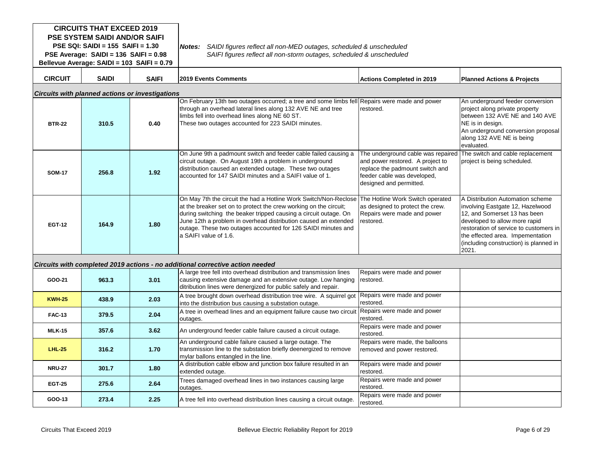| <b>CIRCUITS THAT EXCEED 2019</b><br><b>PSE SYSTEM SAIDI AND/OR SAIFI</b><br>PSE SQI: SAIDI = $155$ SAIFI = $1.30$<br>PSE Average: SAIDI = 136 SAIFI = 0.98<br>Bellevue Average: SAIDI = 103 SAIFI = 0.79 |              |              | Notes:<br>SAIDI figures reflect all non-MED outages, scheduled & unscheduled<br>SAIFI figures reflect all non-storm outages, scheduled & unscheduled                                                                                                                                                                                                                    |                                                                                                                                                                     |                                                                                                                                                                                                                                                                        |  |  |  |
|----------------------------------------------------------------------------------------------------------------------------------------------------------------------------------------------------------|--------------|--------------|-------------------------------------------------------------------------------------------------------------------------------------------------------------------------------------------------------------------------------------------------------------------------------------------------------------------------------------------------------------------------|---------------------------------------------------------------------------------------------------------------------------------------------------------------------|------------------------------------------------------------------------------------------------------------------------------------------------------------------------------------------------------------------------------------------------------------------------|--|--|--|
| <b>CIRCUIT</b>                                                                                                                                                                                           | <b>SAIDI</b> | <b>SAIFI</b> | <b>2019 Events Comments</b>                                                                                                                                                                                                                                                                                                                                             | <b>Actions Completed in 2019</b>                                                                                                                                    | <b>Planned Actions &amp; Projects</b>                                                                                                                                                                                                                                  |  |  |  |
| <b>Circuits with planned actions or investigations</b>                                                                                                                                                   |              |              |                                                                                                                                                                                                                                                                                                                                                                         |                                                                                                                                                                     |                                                                                                                                                                                                                                                                        |  |  |  |
| <b>BTR-22</b>                                                                                                                                                                                            | 310.5        | 0.40         | On February 13th two outages occurred; a tree and some limbs fell Repairs were made and power<br>through an overhead lateral lines along 132 AVE NE and tree<br>limbs fell into overhead lines along NE 60 ST.<br>These two outages accounted for 223 SAIDI minutes.                                                                                                    | restored.                                                                                                                                                           | An underground feeder conversion<br>project along private property<br>between 132 AVE NE and 140 AVE<br>NE is in design.<br>An underground conversion proposal<br>along 132 AVE NE is being<br>evaluated.                                                              |  |  |  |
| <b>SOM-17</b>                                                                                                                                                                                            | 256.8        | 1.92         | On June 9th a padmount switch and feeder cable failed causing a<br>circuit outage. On August 19th a problem in underground<br>distribution caused an extended outage. These two outages<br>accounted for 147 SAIDI minutes and a SAIFI value of 1.                                                                                                                      | The underground cable was repaired<br>and power restored. A project to<br>replace the padmount switch and<br>feeder cable was developed,<br>designed and permitted. | The switch and cable replacement<br>project is being scheduled.                                                                                                                                                                                                        |  |  |  |
| <b>EGT-12</b>                                                                                                                                                                                            | 164.9        | 1.80         | On May 7th the circuit the had a Hotline Work Switch/Non-Reclose<br>at the breaker set on to protect the crew working on the circuit;<br>during switching the beaker tripped causing a circuit outage. On<br>June 12th a problem in overhead distribution caused an extended<br>outage. These two outages accounted for 126 SAIDI minutes and<br>la SAIFI value of 1.6. | The Hotline Work Switch operated<br>as designed to protect the crew.<br>Repairs were made and power<br>restored.                                                    | A Distribution Automation scheme<br>involving Eastgate 12, Hazelwood<br>12, and Somerset 13 has been<br>developed to allow more rapid<br>restoration of service to customers in<br>the effected area. Impementation<br>(including construction) is planned in<br>2021. |  |  |  |
|                                                                                                                                                                                                          |              |              | Circuits with completed 2019 actions - no additional corrective action needed                                                                                                                                                                                                                                                                                           |                                                                                                                                                                     |                                                                                                                                                                                                                                                                        |  |  |  |
| GOO-21                                                                                                                                                                                                   | 963.3        | 3.01         | A large tree fell into overhead distribution and transmission lines<br>causing extensive damage and an extensive outage. Low hanging<br>ditribution lines were denergized for public safely and repair.                                                                                                                                                                 | Repairs were made and power<br>restored.                                                                                                                            |                                                                                                                                                                                                                                                                        |  |  |  |
| <b>KWH-25</b>                                                                                                                                                                                            | 438.9        | 2.03         | A tree brought down overhead distribution tree wire. A squirrel got<br>into the distribution bus causing a substation outage.                                                                                                                                                                                                                                           | Repairs were made and power<br>restored.                                                                                                                            |                                                                                                                                                                                                                                                                        |  |  |  |
| <b>FAC-13</b>                                                                                                                                                                                            | 379.5        | 2.04         | A tree in overhead lines and an equipment failure cause two circuit<br>outages.                                                                                                                                                                                                                                                                                         | Repairs were made and power<br>restored.                                                                                                                            |                                                                                                                                                                                                                                                                        |  |  |  |
| <b>MLK-15</b>                                                                                                                                                                                            | 357.6        | 3.62         | An underground feeder cable failure caused a circuit outage.                                                                                                                                                                                                                                                                                                            | Repairs were made and power<br>restored.                                                                                                                            |                                                                                                                                                                                                                                                                        |  |  |  |
| <b>LHL-25</b>                                                                                                                                                                                            | 316.2        | 1.70         | An underground cable failure caused a large outage. The<br>transmission line to the substation briefly deenergized to remove<br>mylar ballons entangled in the line.                                                                                                                                                                                                    | Repairs were made, the balloons<br>removed and power restored.                                                                                                      |                                                                                                                                                                                                                                                                        |  |  |  |
| <b>NRU-27</b>                                                                                                                                                                                            | 301.7        | 1.80         | A distribution cable elbow and junction box failure resulted in an<br>extended outage.                                                                                                                                                                                                                                                                                  | Repairs were made and power<br>restored.                                                                                                                            |                                                                                                                                                                                                                                                                        |  |  |  |
| <b>EGT-25</b>                                                                                                                                                                                            | 275.6        | 2.64         | Trees damaged overhead lines in two instances causing large<br>outages.                                                                                                                                                                                                                                                                                                 | Repairs were made and power<br>restored.                                                                                                                            |                                                                                                                                                                                                                                                                        |  |  |  |
| GOO-13                                                                                                                                                                                                   | 273.4        | 2.25         | A tree fell into overhead distribution lines causing a circuit outage.                                                                                                                                                                                                                                                                                                  | Repairs were made and power<br>restored.                                                                                                                            |                                                                                                                                                                                                                                                                        |  |  |  |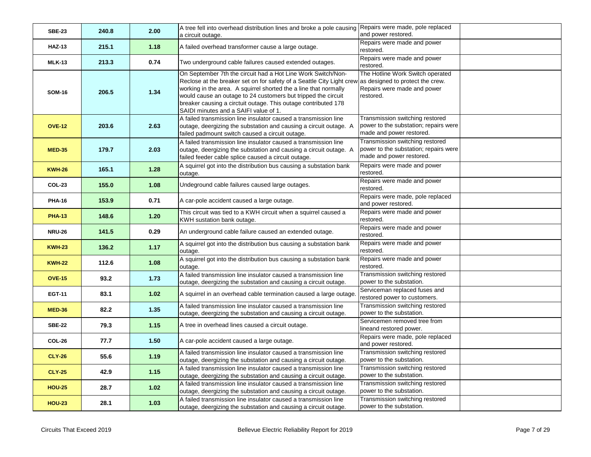| <b>SBE-23</b> | 240.8 | 2.00 | A tree fell into overhead distribution lines and broke a pole causing<br>a circuit outage.                                                                                                                                                                                                                                                                                            | Repairs were made, pole replaced<br>and power restored.                                                          |
|---------------|-------|------|---------------------------------------------------------------------------------------------------------------------------------------------------------------------------------------------------------------------------------------------------------------------------------------------------------------------------------------------------------------------------------------|------------------------------------------------------------------------------------------------------------------|
| <b>HAZ-13</b> | 215.1 | 1.18 | A failed overhead transformer cause a large outage.                                                                                                                                                                                                                                                                                                                                   | Repairs were made and power<br>restored.                                                                         |
| <b>MLK-13</b> | 213.3 | 0.74 | Two underground cable failures caused extended outages.                                                                                                                                                                                                                                                                                                                               | Repairs were made and power<br>restored.                                                                         |
| <b>SOM-16</b> | 206.5 | 1.34 | On September 7th the circuit had a Hot Line Work Switch/Non-<br>Reclose at the breaker set on for safety of a Seattle City Light crew<br>working in the area. A squirrel shorted the a line that normally<br>would cause an outage to 24 customers but tripped the circuit<br>breaker causing a circtuit outage. This outage contributed 178<br>SAIDI minutes and a SAIFI value of 1. | The Hotline Work Switch operated<br>as designed to protect the crew.<br>Repairs were made and power<br>restored. |
| <b>OVE-12</b> | 203.6 | 2.63 | A failed transmission line insulator caused a transmission line<br>outage, deergizing the substation and causing a circuit outage. A<br>failed padmount switch caused a circuit outage.                                                                                                                                                                                               | Transmission switching restored<br>power to the substation; repairs were<br>made and power restored.             |
| <b>MED-35</b> | 179.7 | 2.03 | A failed transmission line insulator caused a transmission line<br>outage, deergizing the substation and causing a circuit outage. A<br>failed feeder cable splice caused a circuit outage.                                                                                                                                                                                           | Transmission switching restored<br>power to the substation; repairs were<br>made and power restored.             |
| <b>KWH-26</b> | 165.1 | 1.28 | A squirrel got into the distribution bus causing a substation bank<br>outage.                                                                                                                                                                                                                                                                                                         | Repairs were made and power<br>restored.                                                                         |
| <b>COL-23</b> | 155.0 | 1.08 | Undeground cable failures caused large outages.                                                                                                                                                                                                                                                                                                                                       | Repairs were made and power<br>restored.                                                                         |
| <b>PHA-16</b> | 153.9 | 0.71 | A car-pole accident caused a large outage.                                                                                                                                                                                                                                                                                                                                            | Repairs were made, pole replaced<br>and power restored.                                                          |
| <b>PHA-13</b> | 148.6 | 1.20 | This circuit was tied to a KWH circuit when a squirrel caused a<br>KWH sustation bank outage.                                                                                                                                                                                                                                                                                         | Repairs were made and power<br>restored.                                                                         |
| <b>NRU-26</b> | 141.5 | 0.29 | An underground cable failure caused an extended outage.                                                                                                                                                                                                                                                                                                                               | Repairs were made and power<br>restored.                                                                         |
| <b>KWH-23</b> | 136.2 | 1.17 | A squirrel got into the distribution bus causing a substation bank<br>outage.                                                                                                                                                                                                                                                                                                         | Repairs were made and power<br>restored.                                                                         |
| <b>KWH-22</b> | 112.6 | 1.08 | A squirrel got into the distribution bus causing a substation bank<br>outage.                                                                                                                                                                                                                                                                                                         | Repairs were made and power<br>restored.                                                                         |
| <b>OVE-15</b> | 93.2  | 1.73 | A failed transmission line insulator caused a transmission line<br>outage, deergizing the substation and causing a circuit outage.                                                                                                                                                                                                                                                    | Transmission switching restored<br>power to the substation.                                                      |
| <b>EGT-11</b> | 83.1  | 1.02 | A squirrel in an overhead cable termination caused a large outage.                                                                                                                                                                                                                                                                                                                    | Serviceman replaced fuses and<br>restored power to customers.                                                    |
| <b>MED-36</b> | 82.2  | 1.35 | A failed transmission line insulator caused a transmission line<br>outage, deergizing the substation and causing a circuit outage.                                                                                                                                                                                                                                                    | Transmission switching restored<br>power to the substation.                                                      |
| <b>SBE-22</b> | 79.3  | 1.15 | A tree in overhead lines caused a circuit outage.                                                                                                                                                                                                                                                                                                                                     | Servicemen removed tree from<br>lineand restored power.                                                          |
| COL-26        | 77.7  | 1.50 | A car-pole accident caused a large outage.                                                                                                                                                                                                                                                                                                                                            | Repairs were made, pole replaced<br>and power restored.                                                          |
| <b>CLY-26</b> | 55.6  | 1.19 | A failed transmission line insulator caused a transmission line<br>outage, deergizing the substation and causing a circuit outage.                                                                                                                                                                                                                                                    | Transmission switching restored<br>power to the substation.                                                      |
| <b>CLY-25</b> | 42.9  | 1.15 | A failed transmission line insulator caused a transmission line<br>outage, deergizing the substation and causing a circuit outage.                                                                                                                                                                                                                                                    | Transmission switching restored<br>power to the substation.                                                      |
| <b>HOU-25</b> | 28.7  | 1.02 | A failed transmission line insulator caused a transmission line<br>outage, deergizing the substation and causing a circuit outage.                                                                                                                                                                                                                                                    | Transmission switching restored<br>power to the substation.                                                      |
| <b>HOU-23</b> | 28.1  | 1.03 | A failed transmission line insulator caused a transmission line<br>outage, deergizing the substation and causing a circuit outage.                                                                                                                                                                                                                                                    | Transmission switching restored<br>power to the substation.                                                      |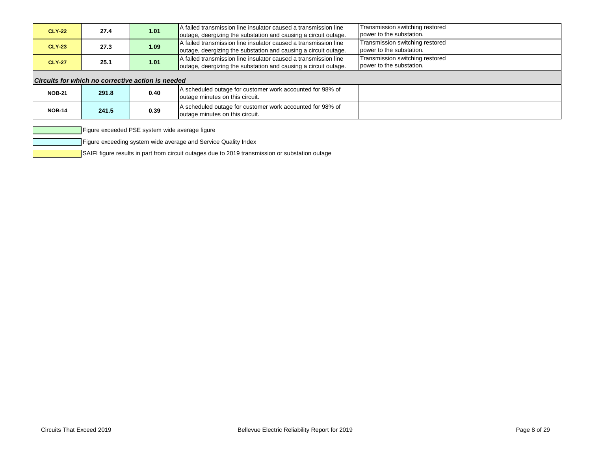| <b>CLY-22</b> | 27.4                                              | 1.01 | A failed transmission line insulator caused a transmission line<br>outage, deergizing the substation and causing a circuit outage. | Transmission switching restored<br>power to the substation. |  |  |  |  |  |
|---------------|---------------------------------------------------|------|------------------------------------------------------------------------------------------------------------------------------------|-------------------------------------------------------------|--|--|--|--|--|
| <b>CLY-23</b> | 27.3                                              | 1.09 | A failed transmission line insulator caused a transmission line<br>outage, deergizing the substation and causing a circuit outage. | Transmission switching restored<br>power to the substation. |  |  |  |  |  |
| <b>CLY-27</b> | 25.1                                              | 1.01 | A failed transmission line insulator caused a transmission line<br>outage, deergizing the substation and causing a circuit outage. | Transmission switching restored<br>power to the substation. |  |  |  |  |  |
|               | Circuits for which no corrective action is needed |      |                                                                                                                                    |                                                             |  |  |  |  |  |
| <b>NOB-21</b> | 291.8                                             | 0.40 | A scheduled outage for customer work accounted for 98% of<br>outage minutes on this circuit.                                       |                                                             |  |  |  |  |  |
| <b>NOB-14</b> | 241.5                                             | 0.39 | A scheduled outage for customer work accounted for 98% of<br>outage minutes on this circuit.                                       |                                                             |  |  |  |  |  |

Figure exceeded PSE system wide average figure

Figure exceeding system wide average and Service Quality Index

SAIFI figure results in part from circuit outages due to 2019 transmission or substation outage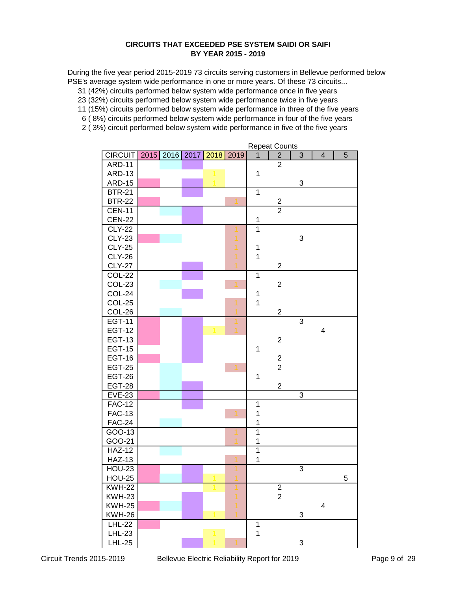## **CIRCUITS THAT EXCEEDED PSE SYSTEM SAIDI OR SAIFI BY YEAR 2015 - 2019**

During the five year period 2015-2019 73 circuits serving customers in Bellevue performed below PSE's average system wide performance in one or more years. Of these 73 circuits...

31 (42%) circuits performed below system wide performance once in five years

23 (32%) circuits performed below system wide performance twice in five years

11 (15%) circuits performed below system wide performance in three of the five years

- 6 ( 8%) circuits performed below system wide performance in four of the five years
- 2 ( 3%) circuit performed below system wide performance in five of the five years

| <b>CIRCUIT</b> | 2015 | 2016 | 2017 | 2018 | 2019 | nopour oo<br>$\mathbf{1}$ | $\overline{2}$          | $\overline{3}$ | $\overline{\mathbf{4}}$ | 5 |
|----------------|------|------|------|------|------|---------------------------|-------------------------|----------------|-------------------------|---|
| <b>ARD-11</b>  |      |      |      |      |      |                           | $\overline{2}$          |                |                         |   |
| <b>ARD-13</b>  |      |      |      |      |      | $\mathbf 1$               |                         |                |                         |   |
| <b>ARD-15</b>  |      |      |      |      |      |                           |                         | 3              |                         |   |
| $BTR-21$       |      |      |      |      |      | $\overline{1}$            |                         |                |                         |   |
| <b>BTR-22</b>  |      |      |      |      |      |                           |                         |                |                         |   |
| <b>CEN-11</b>  |      |      |      |      |      |                           | $\frac{2}{2}$           |                |                         |   |
| <b>CEN-22</b>  |      |      |      |      |      | $\mathbf 1$               |                         |                |                         |   |
| <b>CLY-22</b>  |      |      |      |      |      | $\overline{1}$            |                         |                |                         |   |
| <b>CLY-23</b>  |      |      |      |      |      |                           |                         | 3              |                         |   |
| <b>CLY-25</b>  |      |      |      |      | 1    | $\mathbf 1$               |                         |                |                         |   |
| <b>CLY-26</b>  |      |      |      |      |      | $\overline{1}$            |                         |                |                         |   |
| <b>CLY-27</b>  |      |      |      |      |      |                           | $\overline{2}$          |                |                         |   |
| <b>COL-22</b>  |      |      |      |      |      | 1                         |                         |                |                         |   |
| <b>COL-23</b>  |      |      |      |      |      |                           | $\overline{c}$          |                |                         |   |
| COL-24         |      |      |      |      |      | $\mathbf 1$               |                         |                |                         |   |
| COL-25         |      |      |      |      |      | $\mathbf{1}$              |                         |                |                         |   |
| COL-26         |      |      |      |      |      |                           | $\overline{c}$          |                |                         |   |
| <b>EGT-11</b>  |      |      |      |      |      |                           |                         | $\overline{3}$ |                         |   |
| <b>EGT-12</b>  |      |      |      |      |      |                           |                         |                | $\overline{\mathbf{4}}$ |   |
| <b>EGT-13</b>  |      |      |      |      |      |                           | $\overline{c}$          |                |                         |   |
| <b>EGT-15</b>  |      |      |      |      |      | 1                         |                         |                |                         |   |
| <b>EGT-16</b>  |      |      |      |      |      |                           | $\overline{\mathbf{c}}$ |                |                         |   |
| <b>EGT-25</b>  |      |      |      |      |      |                           | $\overline{2}$          |                |                         |   |
| <b>EGT-26</b>  |      |      |      |      |      | $\mathbf 1$               |                         |                |                         |   |
| <b>EGT-28</b>  |      |      |      |      |      |                           | $\overline{2}$          |                |                         |   |
| <b>EVE-23</b>  |      |      |      |      |      |                           |                         | 3              |                         |   |
| <b>FAC-12</b>  |      |      |      |      |      | $\mathbf 1$               |                         |                |                         |   |
| <b>FAC-13</b>  |      |      |      |      |      | $\mathbf 1$               |                         |                |                         |   |
| <b>FAC-24</b>  |      |      |      |      |      | 1                         |                         |                |                         |   |
| GOO-13         |      |      |      |      |      | $\overline{1}$            |                         |                |                         |   |
| GOO-21         |      |      |      |      |      | 1                         |                         |                |                         |   |
| <b>HAZ-12</b>  |      |      |      |      |      | $\overline{1}$            |                         |                |                         |   |
| <b>HAZ-13</b>  |      |      |      |      |      | 1                         |                         |                |                         |   |
| <b>HOU-23</b>  |      |      |      |      |      |                           |                         | $\overline{3}$ |                         |   |
| <b>HOU-25</b>  |      |      |      |      |      |                           |                         |                |                         | 5 |
| <b>KWH-22</b>  |      |      |      |      |      |                           | $\overline{\mathbf{c}}$ |                |                         |   |
| <b>KWH-23</b>  |      |      |      |      |      |                           | $\overline{2}$          |                |                         |   |
| <b>KWH-25</b>  |      |      |      |      |      |                           |                         |                | $\overline{\mathbf{4}}$ |   |
| <b>KWH-26</b>  |      |      |      |      |      |                           |                         | 3              |                         |   |
| <b>LHL-22</b>  |      |      |      |      |      | $\overline{1}$            |                         |                |                         |   |
| <b>LHL-23</b>  |      |      |      |      |      | $\mathbf 1$               |                         |                |                         |   |
| <b>LHL-25</b>  |      |      |      |      |      |                           |                         | 3              |                         |   |

Repeat Counts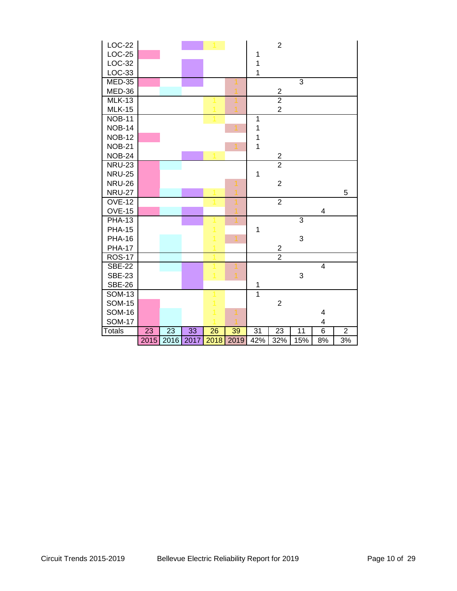| LOC-22        |      |      |      |      |      |                | $\overline{2}$   |                |                         |                |  |
|---------------|------|------|------|------|------|----------------|------------------|----------------|-------------------------|----------------|--|
| $LOC-25$      |      |      |      |      |      | $\mathbf 1$    |                  |                |                         |                |  |
| LOC-32        |      |      |      |      |      | $\mathbf{1}$   |                  |                |                         |                |  |
| LOC-33        |      |      |      |      |      | $\mathbf{1}$   |                  |                |                         |                |  |
| $MED-35$      |      |      |      |      |      |                |                  | $\overline{3}$ |                         |                |  |
| MED-36        |      |      |      |      |      |                | $\boldsymbol{2}$ |                |                         |                |  |
| <b>MLK-13</b> |      |      |      |      |      |                | $\overline{2}$   |                |                         |                |  |
| <b>MLK-15</b> |      |      |      |      |      |                | $\overline{2}$   |                |                         |                |  |
| <b>NOB-11</b> |      |      |      |      |      | $\overline{1}$ |                  |                |                         |                |  |
| <b>NOB-14</b> |      |      |      |      |      | $\mathbf 1$    |                  |                |                         |                |  |
| <b>NOB-12</b> |      |      |      |      |      | $\mathbf 1$    |                  |                |                         |                |  |
| <b>NOB-21</b> |      |      |      |      |      | $\mathbf{1}$   |                  |                |                         |                |  |
| <b>NOB-24</b> |      |      |      |      |      |                | $\frac{2}{2}$    |                |                         |                |  |
| <b>NRU-23</b> |      |      |      |      |      |                |                  |                |                         |                |  |
| <b>NRU-25</b> |      |      |      |      |      | $\mathbf{1}$   |                  |                |                         |                |  |
| <b>NRU-26</b> |      |      |      |      |      |                | $\overline{2}$   |                |                         |                |  |
| <b>NRU-27</b> |      |      |      |      |      |                |                  |                |                         | 5              |  |
| <b>OVE-12</b> |      |      |      |      |      |                | $\overline{2}$   |                |                         |                |  |
| <b>OVE-15</b> |      |      |      |      |      |                |                  |                | $\overline{\mathbf{4}}$ |                |  |
| <b>PHA-13</b> |      |      |      |      |      |                |                  | 3              |                         |                |  |
| <b>PHA-15</b> |      |      |      |      |      | $\mathbf 1$    |                  |                |                         |                |  |
| <b>PHA-16</b> |      |      |      |      |      |                |                  | 3              |                         |                |  |
| <b>PHA-17</b> |      |      |      |      |      |                | $\overline{2}$   |                |                         |                |  |
| <b>ROS-17</b> |      |      |      |      |      |                | $\overline{2}$   |                |                         |                |  |
| <b>SBE-22</b> |      |      |      |      |      |                |                  |                | $\overline{4}$          |                |  |
| <b>SBE-23</b> |      |      |      |      |      |                |                  | 3              |                         |                |  |
| <b>SBE-26</b> |      |      |      |      |      | $\mathbf 1$    |                  |                |                         |                |  |
| <b>SOM-13</b> |      |      |      |      |      | $\overline{1}$ |                  |                |                         |                |  |
| <b>SOM-15</b> |      |      |      |      |      |                | $\overline{2}$   |                |                         |                |  |
| <b>SOM-16</b> |      |      |      |      |      |                |                  |                | 4                       |                |  |
| <b>SOM-17</b> |      |      |      |      |      |                |                  |                | 4                       |                |  |
| <b>Totals</b> | 23   | 23   | 33   | 26   | 39   | 31             | 23               | 11             | $\overline{6}$          | $\overline{2}$ |  |
|               | 2015 | 2016 | 2017 | 2018 | 2019 | 42%            | 32%              | 15%            | 8%                      | 3%             |  |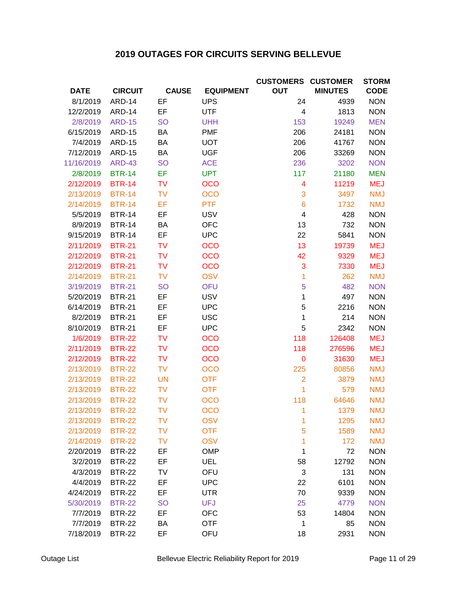# **2019 OUTAGES FOR CIRCUITS SERVING BELLEVUE**

|                  |                |              |                  | <b>CUSTOMERS CUSTOMER</b> |                | <b>STORM</b> |
|------------------|----------------|--------------|------------------|---------------------------|----------------|--------------|
| <b>DATE</b>      | <b>CIRCUIT</b> | <b>CAUSE</b> | <b>EQUIPMENT</b> | <b>OUT</b>                | <b>MINUTES</b> | <b>CODE</b>  |
| 8/1/2019         | <b>ARD-14</b>  | EF           | <b>UPS</b>       | 24                        | 4939           | <b>NON</b>   |
| 12/2/2019        | <b>ARD-14</b>  | EF           | <b>UTF</b>       | 4                         | 1813           | <b>NON</b>   |
| 2/8/2019         | <b>ARD-15</b>  | <b>SO</b>    | <b>UHH</b>       | 153                       | 19249          | <b>MEN</b>   |
| 6/15/2019        | <b>ARD-15</b>  | BA           | <b>PMF</b>       | 206                       | 24181          | <b>NON</b>   |
| 7/4/2019         | <b>ARD-15</b>  | BA           | <b>UOT</b>       | 206                       | 41767          | <b>NON</b>   |
| 7/12/2019        | <b>ARD-15</b>  | BA           | <b>UGF</b>       | 206                       | 33269          | <b>NON</b>   |
| 11/16/2019       | <b>ARD-43</b>  | <b>SO</b>    | <b>ACE</b>       | 236                       | 3202           | <b>NON</b>   |
| 2/8/2019         | <b>BTR-14</b>  | EF           | <b>UPT</b>       | 117                       | 21180          | <b>MEN</b>   |
| 2/12/2019        | <b>BTR-14</b>  | <b>TV</b>    | <b>OCO</b>       | $\overline{4}$            | 11219          | <b>MEJ</b>   |
| 2/13/2019        | <b>BTR-14</b>  | <b>TV</b>    | <b>OCO</b>       | 3                         | 3497           | <b>NMJ</b>   |
| 2/14/2019        | <b>BTR-14</b>  | EF           | <b>PTF</b>       | $6\phantom{1}6$           | 1732           | <b>NMJ</b>   |
| 5/5/2019         | <b>BTR-14</b>  | EF           | <b>USV</b>       | 4                         | 428            | <b>NON</b>   |
| 8/9/2019         | <b>BTR-14</b>  | BA           | <b>OFC</b>       | 13                        | 732            | <b>NON</b>   |
| 9/15/2019        | <b>BTR-14</b>  | EF           | <b>UPC</b>       | 22                        | 5841           | <b>NON</b>   |
| 2/11/2019        | <b>BTR-21</b>  | <b>TV</b>    | <b>OCO</b>       | 13                        | 19739          | <b>MEJ</b>   |
| 2/12/2019        | <b>BTR-21</b>  | <b>TV</b>    | <b>OCO</b>       | 42                        | 9329           | <b>MEJ</b>   |
| 2/12/2019        | <b>BTR-21</b>  | <b>TV</b>    | <b>OCO</b>       | 3                         | 7330           | <b>MEJ</b>   |
| 2/14/2019        | <b>BTR-21</b>  | <b>TV</b>    | <b>OSV</b>       | 1                         | 262            | <b>NMJ</b>   |
| 3/19/2019        | <b>BTR-21</b>  | <b>SO</b>    | <b>OFU</b>       | 5                         | 482            | <b>NON</b>   |
| 5/20/2019        | <b>BTR-21</b>  | EF           | <b>USV</b>       | 1                         | 497            | <b>NON</b>   |
| 6/14/2019        | <b>BTR-21</b>  | EF           | <b>UPC</b>       | 5                         | 2216           | <b>NON</b>   |
| 8/2/2019         | <b>BTR-21</b>  | EF           | <b>USC</b>       | 1                         | 214            | <b>NON</b>   |
| 8/10/2019        | <b>BTR-21</b>  | EF           | <b>UPC</b>       | 5                         | 2342           | <b>NON</b>   |
| 1/6/2019         | <b>BTR-22</b>  | <b>TV</b>    | <b>OCO</b>       | 118                       | 126408         | <b>MEJ</b>   |
| 2/11/2019        | <b>BTR-22</b>  | <b>TV</b>    | <b>OCO</b>       | 118                       | 276596         | <b>MEJ</b>   |
| 2/12/2019        | <b>BTR-22</b>  | <b>TV</b>    | <b>OCO</b>       | $\mathbf 0$               | 31630          | <b>MEJ</b>   |
| 2/13/2019        | <b>BTR-22</b>  | <b>TV</b>    | <b>OCO</b>       | 225                       | 80856          | <b>NMJ</b>   |
| 2/13/2019        | <b>BTR-22</b>  | <b>UN</b>    | <b>OTF</b>       | $\overline{2}$            | 3879           | <b>NMJ</b>   |
| 2/13/2019        | <b>BTR-22</b>  | <b>TV</b>    | <b>OTF</b>       | 1                         | 579            | <b>NMJ</b>   |
| 2/13/2019        | <b>BTR-22</b>  | <b>TV</b>    | <b>OCO</b>       | 118                       | 64646          | <b>NMJ</b>   |
| 2/13/2019 BTR-22 |                | TV           | <b>OCO</b>       | 1.                        | 1379           | NMJ          |
| 2/13/2019        | <b>BTR-22</b>  | <b>TV</b>    | <b>OSV</b>       | 1                         | 1295           | <b>NMJ</b>   |
| 2/13/2019        | <b>BTR-22</b>  | <b>TV</b>    | <b>OTF</b>       | 5                         | 1589           | <b>NMJ</b>   |
| 2/14/2019        | <b>BTR-22</b>  | <b>TV</b>    | <b>OSV</b>       | 1                         | 172            | <b>NMJ</b>   |
| 2/20/2019        | <b>BTR-22</b>  | EF           | <b>OMP</b>       | 1                         | 72             | <b>NON</b>   |
| 3/2/2019         | <b>BTR-22</b>  | EF           | UEL              | 58                        | 12792          | <b>NON</b>   |
| 4/3/2019         | <b>BTR-22</b>  | TV           | OFU              | 3                         | 131            | <b>NON</b>   |
| 4/4/2019         | <b>BTR-22</b>  | EF           | <b>UPC</b>       | 22                        | 6101           | <b>NON</b>   |
| 4/24/2019        | <b>BTR-22</b>  | EF           | <b>UTR</b>       | 70                        | 9339           | <b>NON</b>   |
| 5/30/2019        | <b>BTR-22</b>  | <b>SO</b>    | <b>UFJ</b>       | 25                        | 4779           | <b>NON</b>   |
| 7/7/2019         | <b>BTR-22</b>  | EF           | <b>OFC</b>       | 53                        | 14804          | <b>NON</b>   |
| 7/7/2019         | <b>BTR-22</b>  | BA           | <b>OTF</b>       | 1                         | 85             | <b>NON</b>   |
| 7/18/2019        | <b>BTR-22</b>  | EF           | OFU              | 18                        | 2931           | <b>NON</b>   |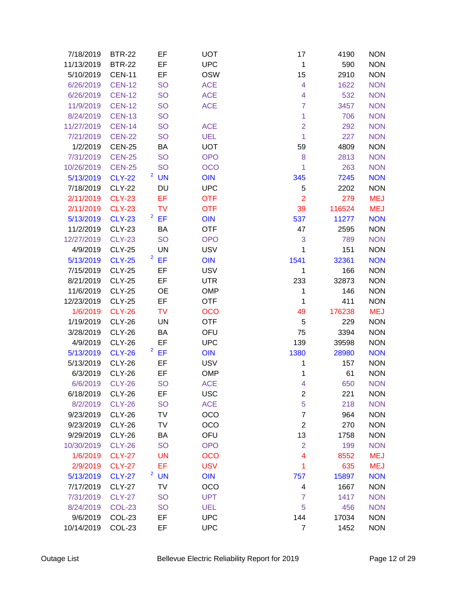| 7/18/2019       | <b>BTR-22</b> | EF                                   | <b>UOT</b> | 17                      | 4190   | <b>NON</b> |
|-----------------|---------------|--------------------------------------|------------|-------------------------|--------|------------|
| 11/13/2019      | <b>BTR-22</b> | EF                                   | <b>UPC</b> | $\mathbf 1$             | 590    | <b>NON</b> |
| 5/10/2019       | <b>CEN-11</b> | EF                                   | <b>OSW</b> | 15                      | 2910   | <b>NON</b> |
| 6/26/2019       | <b>CEN-12</b> | <b>SO</b>                            | <b>ACE</b> | 4                       | 1622   | <b>NON</b> |
| 6/26/2019       | <b>CEN-12</b> | <b>SO</b>                            | <b>ACE</b> | $\overline{\mathbf{4}}$ | 532    | <b>NON</b> |
| 11/9/2019       | <b>CEN-12</b> | <b>SO</b>                            | <b>ACE</b> | $\overline{7}$          | 3457   | <b>NON</b> |
| 8/24/2019       | <b>CEN-13</b> | <b>SO</b>                            |            | $\mathbf{1}$            | 706    | <b>NON</b> |
| 11/27/2019      | <b>CEN-14</b> | <b>SO</b>                            | <b>ACE</b> | $\overline{2}$          | 292    | <b>NON</b> |
| 7/21/2019       | <b>CEN-22</b> | <b>SO</b>                            | <b>UEL</b> | 1                       | 227    | <b>NON</b> |
| 1/2/2019        | <b>CEN-25</b> | BA                                   | <b>UOT</b> | 59                      | 4809   | <b>NON</b> |
| 7/31/2019       | <b>CEN-25</b> | <b>SO</b>                            | <b>OPO</b> | 8                       | 2813   | <b>NON</b> |
| 10/26/2019      | <b>CEN-25</b> | <b>SO</b>                            | <b>OCO</b> | 1                       | 263    | <b>NON</b> |
| 5/13/2019       | <b>CLY-22</b> | $2$ UN                               | OIN        | 345                     | 7245   | <b>NON</b> |
| 7/18/2019       | <b>CLY-22</b> | DU                                   | <b>UPC</b> | 5                       | 2202   | <b>NON</b> |
| 2/11/2019       | <b>CLY-23</b> | EF                                   | <b>OTF</b> | $\overline{2}$          | 279    | <b>MEJ</b> |
| 2/11/2019       | <b>CLY-23</b> | <b>TV</b>                            | <b>OTF</b> | 39                      | 116524 | <b>MEJ</b> |
| 5/13/2019       | <b>CLY-23</b> | $2$ EF                               | <b>OIN</b> | 537                     | 11277  | <b>NON</b> |
| 11/2/2019       | <b>CLY-23</b> | BA                                   | <b>OTF</b> | 47                      | 2595   | <b>NON</b> |
| 12/27/2019      | <b>CLY-23</b> | <b>SO</b>                            | <b>OPO</b> | 3                       | 789    | <b>NON</b> |
| 4/9/2019        | <b>CLY-25</b> | <b>UN</b>                            | <b>USV</b> | 1                       | 151    | <b>NON</b> |
| 5/13/2019       | <b>CLY-25</b> | $2$ EF                               | OIN        | 1541                    | 32361  | <b>NON</b> |
| 7/15/2019       | <b>CLY-25</b> | EF                                   | <b>USV</b> | 1                       | 166    | <b>NON</b> |
| 8/21/2019       | <b>CLY-25</b> | EF                                   | <b>UTR</b> | 233                     | 32873  | <b>NON</b> |
| 11/6/2019       | <b>CLY-25</b> | <b>OE</b>                            | <b>OMP</b> | 1                       | 146    | <b>NON</b> |
| 12/23/2019      | <b>CLY-25</b> | EF                                   | <b>OTF</b> | 1                       | 411    | <b>NON</b> |
| 1/6/2019        | <b>CLY-26</b> | <b>TV</b>                            | <b>OCO</b> | 49                      | 176238 | <b>MEJ</b> |
| 1/19/2019       | <b>CLY-26</b> | <b>UN</b>                            | <b>OTF</b> | 5                       | 229    | <b>NON</b> |
| 3/28/2019       | <b>CLY-26</b> | BA                                   | OFU        | 75                      | 3394   | <b>NON</b> |
| 4/9/2019        | <b>CLY-26</b> | EF                                   | <b>UPC</b> | 139                     | 39598  | <b>NON</b> |
| 5/13/2019       | <b>CLY-26</b> | $2$ EF                               | <b>OIN</b> | 1380                    | 28980  | <b>NON</b> |
| 5/13/2019       | <b>CLY-26</b> | EF                                   | <b>USV</b> | 1                       | 157    | <b>NON</b> |
| 6/3/2019        | <b>CLY-26</b> | EF                                   | <b>OMP</b> | 1                       | 61     | <b>NON</b> |
| 6/6/2019 CLY-26 |               | <b>SO</b>                            | <b>ACE</b> | 4                       | 650    | <b>NON</b> |
| 6/18/2019       | <b>CLY-26</b> | EF                                   | <b>USC</b> | $\overline{c}$          | 221    | <b>NON</b> |
| 8/2/2019        | <b>CLY-26</b> | <b>SO</b>                            | <b>ACE</b> | 5                       | 218    | <b>NON</b> |
| 9/23/2019       | <b>CLY-26</b> | <b>TV</b>                            | OCO        | $\overline{7}$          | 964    | <b>NON</b> |
| 9/23/2019       | <b>CLY-26</b> | TV                                   | OCO        | $\overline{c}$          | 270    | <b>NON</b> |
| 9/29/2019       | <b>CLY-26</b> | BA                                   | OFU        | 13                      | 1758   | <b>NON</b> |
| 10/30/2019      | <b>CLY-26</b> | <b>SO</b>                            | <b>OPO</b> | $\overline{2}$          | 199    | <b>NON</b> |
| 1/6/2019        | <b>CLY-27</b> | <b>UN</b>                            | <b>OCO</b> | $\overline{4}$          | 8552   | <b>MEJ</b> |
| 2/9/2019        | <b>CLY-27</b> | EF                                   | <b>USV</b> | 1                       | 635    | <b>MEJ</b> |
| 5/13/2019       | <b>CLY-27</b> | $\overline{\mathbf{c}}$<br><b>UN</b> | OIN        | 757                     | 15897  | <b>NON</b> |
| 7/17/2019       | <b>CLY-27</b> | TV                                   | OCO        | 4                       | 1667   | <b>NON</b> |
| 7/31/2019       | <b>CLY-27</b> | <b>SO</b>                            | <b>UPT</b> | $\overline{7}$          | 1417   | <b>NON</b> |
| 8/24/2019       | <b>COL-23</b> | <b>SO</b>                            | <b>UEL</b> | 5                       | 456    | <b>NON</b> |
| 9/6/2019        | COL-23        | EF                                   | <b>UPC</b> | 144                     | 17034  | <b>NON</b> |
| 10/14/2019      | COL-23        | EF                                   | <b>UPC</b> | $\overline{7}$          | 1452   | <b>NON</b> |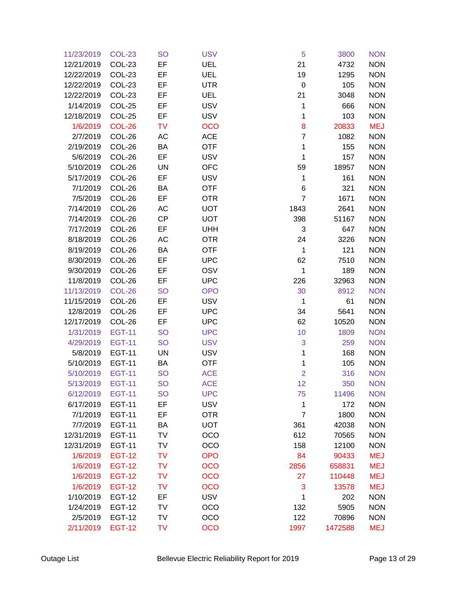| 11/23/2019       | <b>COL-23</b> | <b>SO</b> | <b>USV</b> | 5              | 3800    | <b>NON</b> |
|------------------|---------------|-----------|------------|----------------|---------|------------|
| 12/21/2019       | COL-23        | EF        | UEL        | 21             | 4732    | <b>NON</b> |
| 12/22/2019       | COL-23        | EF        | <b>UEL</b> | 19             | 1295    | <b>NON</b> |
| 12/22/2019       | COL-23        | EF        | <b>UTR</b> | $\mathbf 0$    | 105     | <b>NON</b> |
| 12/22/2019       | COL-23        | EF        | UEL        | 21             | 3048    | <b>NON</b> |
| 1/14/2019        | COL-25        | EF        | <b>USV</b> | 1              | 666     | <b>NON</b> |
| 12/18/2019       | <b>COL-25</b> | EF        | <b>USV</b> | $\mathbf 1$    | 103     | <b>NON</b> |
| 1/6/2019         | <b>COL-26</b> | <b>TV</b> | <b>OCO</b> | 8              | 20833   | <b>MEJ</b> |
| 2/7/2019         | COL-26        | AC        | <b>ACE</b> | $\overline{7}$ | 1082    | <b>NON</b> |
| 2/19/2019        | COL-26        | BA        | <b>OTF</b> | 1              | 155     | <b>NON</b> |
| 5/6/2019         | COL-26        | EF        | <b>USV</b> | $\mathbf 1$    | 157     | <b>NON</b> |
| 5/10/2019        | COL-26        | UN        | <b>OFC</b> | 59             | 18957   | <b>NON</b> |
| 5/17/2019        | COL-26        | EF        | <b>USV</b> | 1              | 161     | <b>NON</b> |
| 7/1/2019         | COL-26        | BA        | OTF        | 6              | 321     | <b>NON</b> |
| 7/5/2019         | COL-26        | EF        | <b>OTR</b> | $\overline{7}$ | 1671    | <b>NON</b> |
| 7/14/2019        | COL-26        | AC        | <b>UOT</b> | 1843           | 2641    | <b>NON</b> |
| 7/14/2019        | COL-26        | CP        | <b>UOT</b> | 398            | 51167   | <b>NON</b> |
| 7/17/2019        | COL-26        | EF        | <b>UHH</b> | 3              | 647     | <b>NON</b> |
| 8/18/2019        | COL-26        | AC        | <b>OTR</b> | 24             | 3226    | <b>NON</b> |
| 8/19/2019        | COL-26        | BA        | <b>OTF</b> | $\mathbf 1$    | 121     | <b>NON</b> |
| 8/30/2019        | COL-26        | EF        | <b>UPC</b> | 62             | 7510    | <b>NON</b> |
| 9/30/2019        | COL-26        | EF        | OSV        | $\mathbf{1}$   | 189     | <b>NON</b> |
| 11/8/2019        | COL-26        | EF        | <b>UPC</b> | 226            | 32963   | <b>NON</b> |
| 11/13/2019       | <b>COL-26</b> | <b>SO</b> | <b>OPO</b> | 30             | 8912    | <b>NON</b> |
| 11/15/2019       | COL-26        | EF        | <b>USV</b> | $\mathbf 1$    | 61      | <b>NON</b> |
| 12/8/2019        | COL-26        | EF        | <b>UPC</b> | 34             | 5641    | <b>NON</b> |
| 12/17/2019       | COL-26        | EF        | <b>UPC</b> | 62             | 10520   | <b>NON</b> |
| 1/31/2019        | <b>EGT-11</b> | <b>SO</b> | <b>UPC</b> | 10             | 1809    | <b>NON</b> |
| 4/29/2019        | <b>EGT-11</b> | <b>SO</b> | <b>USV</b> | 3              | 259     | <b>NON</b> |
| 5/8/2019         | <b>EGT-11</b> | UN        | <b>USV</b> | 1              | 168     | <b>NON</b> |
| 5/10/2019        | <b>EGT-11</b> | BA        | <b>OTF</b> | 1              | 105     | <b>NON</b> |
| 5/10/2019        | <b>EGT-11</b> | <b>SO</b> | <b>ACE</b> | $\overline{2}$ | 316     | <b>NON</b> |
| 5/13/2019 EGT-11 |               | <b>SO</b> | <b>ACE</b> | 12             | 350     | <b>NON</b> |
| 6/12/2019        | <b>EGT-11</b> | <b>SO</b> | <b>UPC</b> | 75             | 11496   | <b>NON</b> |
| 6/17/2019        | <b>EGT-11</b> | EF        | <b>USV</b> | $\mathbf 1$    | 172     | <b>NON</b> |
| 7/1/2019         | <b>EGT-11</b> | EF        | <b>OTR</b> | $\overline{7}$ | 1800    | <b>NON</b> |
| 7/7/2019         | <b>EGT-11</b> | BA        | <b>UOT</b> | 361            | 42038   | <b>NON</b> |
| 12/31/2019       | <b>EGT-11</b> | TV        | OCO        | 612            | 70565   | <b>NON</b> |
| 12/31/2019       | <b>EGT-11</b> | TV        | OCO        | 158            | 12100   | <b>NON</b> |
| 1/6/2019         | <b>EGT-12</b> | <b>TV</b> | <b>OPO</b> | 84             | 90433   | <b>MEJ</b> |
| 1/6/2019         | <b>EGT-12</b> | <b>TV</b> | OCO        | 2856           | 658831  | <b>MEJ</b> |
| 1/6/2019         | <b>EGT-12</b> | <b>TV</b> | <b>OCO</b> | 27             | 110448  | <b>MEJ</b> |
| 1/6/2019         | <b>EGT-12</b> | <b>TV</b> | <b>OCO</b> | 3              | 13578   | <b>MEJ</b> |
| 1/10/2019        | <b>EGT-12</b> | EF        | <b>USV</b> | $\mathbf{1}$   | 202     | <b>NON</b> |
| 1/24/2019        | <b>EGT-12</b> | TV        | OCO        | 132            | 5905    | <b>NON</b> |
| 2/5/2019         | <b>EGT-12</b> | <b>TV</b> | OCO        | 122            | 70896   | <b>NON</b> |
| 2/11/2019        | <b>EGT-12</b> | <b>TV</b> | <b>OCO</b> | 1997           | 1472588 | <b>MEJ</b> |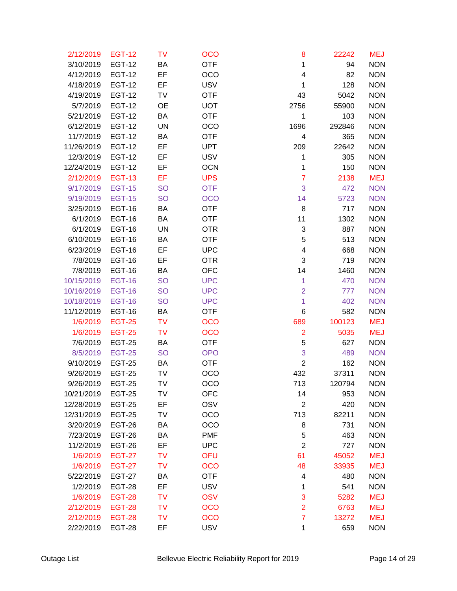| 2/12/2019        | <b>EGT-12</b> | <b>TV</b> | <b>OCO</b> | 8              | 22242  | <b>MEJ</b> |
|------------------|---------------|-----------|------------|----------------|--------|------------|
| 3/10/2019        | <b>EGT-12</b> | BA        | <b>OTF</b> | 1              | 94     | <b>NON</b> |
| 4/12/2019        | <b>EGT-12</b> | EF        | OCO        | 4              | 82     | <b>NON</b> |
| 4/18/2019        | <b>EGT-12</b> | EF        | <b>USV</b> | 1              | 128    | <b>NON</b> |
| 4/19/2019        | <b>EGT-12</b> | TV        | <b>OTF</b> | 43             | 5042   | <b>NON</b> |
| 5/7/2019         | <b>EGT-12</b> | <b>OE</b> | <b>UOT</b> | 2756           | 55900  | <b>NON</b> |
| 5/21/2019        | <b>EGT-12</b> | BA        | <b>OTF</b> | $\mathbf{1}$   | 103    | <b>NON</b> |
| 6/12/2019        | <b>EGT-12</b> | <b>UN</b> | <b>OCO</b> | 1696           | 292846 | <b>NON</b> |
| 11/7/2019        | <b>EGT-12</b> | BA        | <b>OTF</b> | 4              | 365    | <b>NON</b> |
| 11/26/2019       | <b>EGT-12</b> | EF        | <b>UPT</b> | 209            | 22642  | <b>NON</b> |
| 12/3/2019        | <b>EGT-12</b> | EF        | <b>USV</b> | 1              | 305    | <b>NON</b> |
| 12/24/2019       | <b>EGT-12</b> | EF        | <b>OCN</b> | 1              | 150    | <b>NON</b> |
| 2/12/2019        | <b>EGT-13</b> | EF        | <b>UPS</b> | $\overline{7}$ | 2138   | <b>MEJ</b> |
| 9/17/2019        | <b>EGT-15</b> | <b>SO</b> | <b>OTF</b> | 3              | 472    | <b>NON</b> |
| 9/19/2019        | <b>EGT-15</b> | <b>SO</b> | <b>OCO</b> | 14             | 5723   | <b>NON</b> |
| 3/25/2019        | <b>EGT-16</b> | BA        | <b>OTF</b> | 8              | 717    | <b>NON</b> |
| 6/1/2019         | <b>EGT-16</b> | BA        | <b>OTF</b> | 11             | 1302   | <b>NON</b> |
| 6/1/2019         | <b>EGT-16</b> | UN        | <b>OTR</b> | 3              | 887    | <b>NON</b> |
| 6/10/2019        | <b>EGT-16</b> | BA        | <b>OTF</b> | 5              | 513    | <b>NON</b> |
| 6/23/2019        | <b>EGT-16</b> | EF        | <b>UPC</b> | 4              | 668    | <b>NON</b> |
| 7/8/2019         | <b>EGT-16</b> | EF        | <b>OTR</b> | 3              | 719    | <b>NON</b> |
| 7/8/2019         | <b>EGT-16</b> | BA        | <b>OFC</b> | 14             | 1460   | <b>NON</b> |
| 10/15/2019       | <b>EGT-16</b> | <b>SO</b> | <b>UPC</b> | 1              | 470    | <b>NON</b> |
| 10/16/2019       | <b>EGT-16</b> | <b>SO</b> | <b>UPC</b> | $\overline{2}$ | 777    | <b>NON</b> |
| 10/18/2019       | <b>EGT-16</b> | <b>SO</b> | <b>UPC</b> | 1              | 402    | <b>NON</b> |
| 11/12/2019       | <b>EGT-16</b> | BA        | <b>OTF</b> | 6              | 582    | <b>NON</b> |
| 1/6/2019         | <b>EGT-25</b> | <b>TV</b> | <b>OCO</b> | 689            | 100123 | <b>MEJ</b> |
| 1/6/2019         | <b>EGT-25</b> | <b>TV</b> | <b>OCO</b> | $\overline{2}$ | 5035   | <b>MEJ</b> |
| 7/6/2019         | <b>EGT-25</b> | ВA        | <b>OTF</b> | 5              | 627    | <b>NON</b> |
| 8/5/2019         | <b>EGT-25</b> | <b>SO</b> | <b>OPO</b> | 3              | 489    | <b>NON</b> |
| 9/10/2019        | <b>EGT-25</b> | BA        | <b>OTF</b> | $\overline{2}$ | 162    | <b>NON</b> |
| 9/26/2019        | <b>EGT-25</b> | TV        | OCO        | 432            | 37311  | <b>NON</b> |
| 9/26/2019 EGT-25 |               | TV        | <b>OCO</b> | 713            | 120794 | <b>NON</b> |
| 10/21/2019       | <b>EGT-25</b> | TV        | <b>OFC</b> | 14             | 953    | <b>NON</b> |
| 12/28/2019       | <b>EGT-25</b> | EF        | OSV        | $\overline{2}$ | 420    | <b>NON</b> |
| 12/31/2019       | <b>EGT-25</b> | TV        | OCO        | 713            | 82211  | <b>NON</b> |
| 3/20/2019        | <b>EGT-26</b> | BA        | OCO        | 8              | 731    | <b>NON</b> |
| 7/23/2019        | <b>EGT-26</b> | BA        | <b>PMF</b> | 5              | 463    | <b>NON</b> |
| 11/2/2019        | <b>EGT-26</b> | EF        | <b>UPC</b> | $\overline{2}$ | 727    | <b>NON</b> |
| 1/6/2019         | <b>EGT-27</b> | <b>TV</b> | <b>OFU</b> | 61             | 45052  | <b>MEJ</b> |
| 1/6/2019         | <b>EGT-27</b> | <b>TV</b> | <b>OCO</b> | 48             | 33935  | <b>MEJ</b> |
| 5/22/2019        | <b>EGT-27</b> | ВA        | <b>OTF</b> | 4              | 480    | <b>NON</b> |
| 1/2/2019         | <b>EGT-28</b> | EF        | <b>USV</b> | 1              | 541    | <b>NON</b> |
| 1/6/2019         | <b>EGT-28</b> | TV        | <b>OSV</b> | 3              | 5282   | <b>MEJ</b> |
| 2/12/2019        | <b>EGT-28</b> | TV        | <b>OCO</b> | $\overline{2}$ | 6763   | <b>MEJ</b> |
| 2/12/2019        | <b>EGT-28</b> | <b>TV</b> | <b>OCO</b> | $\overline{7}$ | 13272  | <b>MEJ</b> |
| 2/22/2019        | <b>EGT-28</b> | EF        | <b>USV</b> | 1              | 659    | <b>NON</b> |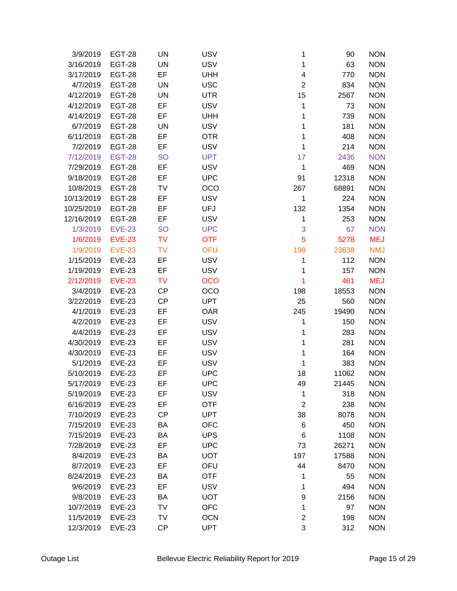| 3/9/2019   | <b>EGT-28</b> | <b>UN</b> | <b>USV</b> | 1                       | 90    | <b>NON</b> |
|------------|---------------|-----------|------------|-------------------------|-------|------------|
| 3/16/2019  | <b>EGT-28</b> | <b>UN</b> | <b>USV</b> | 1                       | 63    | <b>NON</b> |
| 3/17/2019  | <b>EGT-28</b> | EF        | <b>UHH</b> | $\overline{\mathbf{4}}$ | 770   | <b>NON</b> |
| 4/7/2019   | <b>EGT-28</b> | UN        | <b>USC</b> | $\overline{c}$          | 834   | <b>NON</b> |
| 4/12/2019  | <b>EGT-28</b> | <b>UN</b> | <b>UTR</b> | 15                      | 2567  | <b>NON</b> |
| 4/12/2019  | <b>EGT-28</b> | EF        | <b>USV</b> | 1                       | 73    | <b>NON</b> |
| 4/14/2019  | <b>EGT-28</b> | EF        | <b>UHH</b> | 1                       | 739   | <b>NON</b> |
| 6/7/2019   | <b>EGT-28</b> | UN        | <b>USV</b> | 1                       | 181   | <b>NON</b> |
| 6/11/2019  | <b>EGT-28</b> | EF        | <b>OTR</b> | 1                       | 408   | <b>NON</b> |
| 7/2/2019   | <b>EGT-28</b> | EF        | <b>USV</b> | 1                       | 214   | <b>NON</b> |
| 7/12/2019  | <b>EGT-28</b> | <b>SO</b> | <b>UPT</b> | 17                      | 2436  | <b>NON</b> |
| 7/29/2019  | <b>EGT-28</b> | EF        | <b>USV</b> | 1                       | 469   | <b>NON</b> |
| 9/18/2019  | <b>EGT-28</b> | EF        | <b>UPC</b> | 91                      | 12318 | <b>NON</b> |
| 10/8/2019  | <b>EGT-28</b> | TV        | OCO        | 267                     | 68891 | <b>NON</b> |
| 10/13/2019 | <b>EGT-28</b> | EF        | <b>USV</b> | 1                       | 224   | <b>NON</b> |
| 10/25/2019 | <b>EGT-28</b> | EF        | <b>UFJ</b> | 132                     | 1354  | <b>NON</b> |
| 12/16/2019 | <b>EGT-28</b> | EF        | <b>USV</b> | 1                       | 253   | <b>NON</b> |
| 1/3/2019   | <b>EVE-23</b> | <b>SO</b> | <b>UPC</b> | 3                       | 67    | <b>NON</b> |
| 1/6/2019   | <b>EVE-23</b> | <b>TV</b> | <b>OTF</b> | 5                       | 5278  | <b>MEJ</b> |
| 1/9/2019   | <b>EVE-23</b> | <b>TV</b> | <b>OFU</b> | 198                     | 23638 | <b>NMJ</b> |
| 1/15/2019  | <b>EVE-23</b> | EF        | <b>USV</b> | 1                       | 112   | <b>NON</b> |
| 1/19/2019  | <b>EVE-23</b> | EF        | <b>USV</b> | 1                       | 157   | <b>NON</b> |
| 2/12/2019  | <b>EVE-23</b> | <b>TV</b> | <b>OCO</b> | 1                       | 461   | <b>MEJ</b> |
| 3/4/2019   | <b>EVE-23</b> | <b>CP</b> | OCO        | 198                     | 18553 | <b>NON</b> |
| 3/22/2019  | <b>EVE-23</b> | <b>CP</b> | <b>UPT</b> | 25                      | 560   | <b>NON</b> |
| 4/1/2019   | <b>EVE-23</b> | EF        | <b>OAR</b> | 245                     | 19490 | <b>NON</b> |
| 4/2/2019   | <b>EVE-23</b> | EF        | <b>USV</b> | 1                       | 150   | <b>NON</b> |
| 4/4/2019   | <b>EVE-23</b> | EF        | <b>USV</b> | 1                       | 283   | <b>NON</b> |
| 4/30/2019  | <b>EVE-23</b> | EF        | <b>USV</b> | 1                       | 281   | <b>NON</b> |
| 4/30/2019  | <b>EVE-23</b> | EF        | <b>USV</b> | 1                       | 164   | <b>NON</b> |
| 5/1/2019   | <b>EVE-23</b> | EF        | <b>USV</b> | 1                       | 383   | <b>NON</b> |
| 5/10/2019  | <b>EVE-23</b> | EF        | <b>UPC</b> | 18                      | 11062 | <b>NON</b> |
| 5/17/2019  | <b>EVE-23</b> | EF        | <b>UPC</b> | 49                      | 21445 | <b>NON</b> |
| 5/19/2019  | <b>EVE-23</b> | EF        | <b>USV</b> | 1                       | 318   | <b>NON</b> |
| 6/16/2019  | <b>EVE-23</b> | EF        | <b>OTF</b> | $\overline{2}$          | 238   | <b>NON</b> |
| 7/10/2019  | <b>EVE-23</b> | <b>CP</b> | <b>UPT</b> | 38                      | 8078  | <b>NON</b> |
| 7/15/2019  | <b>EVE-23</b> | BA        | <b>OFC</b> | 6                       | 450   | <b>NON</b> |
| 7/15/2019  | <b>EVE-23</b> | BA        | <b>UPS</b> | 6                       | 1108  | <b>NON</b> |
| 7/28/2019  | <b>EVE-23</b> | EF        | <b>UPC</b> | 73                      | 26271 | <b>NON</b> |
| 8/4/2019   | <b>EVE-23</b> | BA        | <b>UOT</b> | 197                     | 17588 | <b>NON</b> |
| 8/7/2019   | <b>EVE-23</b> | EF        | OFU        | 44                      | 8470  | <b>NON</b> |
| 8/24/2019  | <b>EVE-23</b> | BA        | <b>OTF</b> | 1                       | 55    | <b>NON</b> |
| 9/6/2019   | <b>EVE-23</b> | EF        | <b>USV</b> | 1                       | 494   | <b>NON</b> |
| 9/8/2019   | <b>EVE-23</b> | BA        | <b>UOT</b> | 9                       | 2156  | <b>NON</b> |
| 10/7/2019  | <b>EVE-23</b> | TV        | <b>OFC</b> | 1                       | 97    | <b>NON</b> |
| 11/5/2019  | <b>EVE-23</b> | TV        | <b>OCN</b> | $\overline{c}$          | 198   | <b>NON</b> |
| 12/3/2019  | <b>EVE-23</b> | <b>CP</b> | <b>UPT</b> | 3                       | 312   | <b>NON</b> |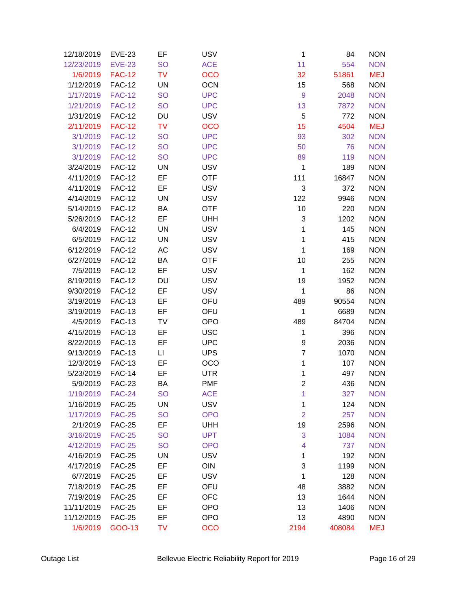| 12/18/2019 | <b>EVE-23</b> | EF                     | <b>USV</b> | 1                | 84     | <b>NON</b> |
|------------|---------------|------------------------|------------|------------------|--------|------------|
| 12/23/2019 | <b>EVE-23</b> | <b>SO</b>              | <b>ACE</b> | 11               | 554    | <b>NON</b> |
| 1/6/2019   | <b>FAC-12</b> | <b>TV</b>              | <b>OCO</b> | 32               | 51861  | <b>MEJ</b> |
| 1/12/2019  | <b>FAC-12</b> | UN                     | <b>OCN</b> | 15               | 568    | <b>NON</b> |
| 1/17/2019  | <b>FAC-12</b> | <b>SO</b>              | <b>UPC</b> | $\boldsymbol{9}$ | 2048   | <b>NON</b> |
| 1/21/2019  | <b>FAC-12</b> | <b>SO</b>              | <b>UPC</b> | 13               | 7872   | <b>NON</b> |
| 1/31/2019  | <b>FAC-12</b> | DU                     | <b>USV</b> | 5                | 772    | <b>NON</b> |
| 2/11/2019  | <b>FAC-12</b> | <b>TV</b>              | <b>OCO</b> | 15               | 4504   | <b>MEJ</b> |
| 3/1/2019   | <b>FAC-12</b> | <b>SO</b>              | <b>UPC</b> | 93               | 302    | <b>NON</b> |
| 3/1/2019   | <b>FAC-12</b> | <b>SO</b>              | <b>UPC</b> | 50               | 76     | <b>NON</b> |
| 3/1/2019   | <b>FAC-12</b> | <b>SO</b>              | <b>UPC</b> | 89               | 119    | <b>NON</b> |
| 3/24/2019  | <b>FAC-12</b> | UN                     | <b>USV</b> | 1                | 189    | <b>NON</b> |
| 4/11/2019  | <b>FAC-12</b> | EF                     | <b>OTF</b> | 111              | 16847  | <b>NON</b> |
| 4/11/2019  | <b>FAC-12</b> | EF                     | <b>USV</b> | 3                | 372    | <b>NON</b> |
| 4/14/2019  | <b>FAC-12</b> | <b>UN</b>              | <b>USV</b> | 122              | 9946   | <b>NON</b> |
| 5/14/2019  | <b>FAC-12</b> | BA                     | <b>OTF</b> | 10               | 220    | <b>NON</b> |
| 5/26/2019  | <b>FAC-12</b> | EF                     | <b>UHH</b> | 3                | 1202   | <b>NON</b> |
| 6/4/2019   | <b>FAC-12</b> | UN                     | <b>USV</b> | 1                | 145    | <b>NON</b> |
| 6/5/2019   | <b>FAC-12</b> | <b>UN</b>              | <b>USV</b> | 1                | 415    | <b>NON</b> |
| 6/12/2019  | <b>FAC-12</b> | AC                     | <b>USV</b> | 1                | 169    | <b>NON</b> |
| 6/27/2019  | <b>FAC-12</b> | BA                     | <b>OTF</b> | 10               | 255    | <b>NON</b> |
| 7/5/2019   | <b>FAC-12</b> | EF                     | <b>USV</b> | 1                | 162    | <b>NON</b> |
| 8/19/2019  | <b>FAC-12</b> | DU                     | <b>USV</b> | 19               | 1952   | <b>NON</b> |
| 9/30/2019  | <b>FAC-12</b> | EF                     | <b>USV</b> | 1                | 86     | <b>NON</b> |
| 3/19/2019  | <b>FAC-13</b> | EF                     | OFU        | 489              | 90554  | <b>NON</b> |
| 3/19/2019  | <b>FAC-13</b> | EF                     | OFU        | 1                | 6689   | <b>NON</b> |
| 4/5/2019   | <b>FAC-13</b> | TV                     | <b>OPO</b> | 489              | 84704  | <b>NON</b> |
| 4/15/2019  | <b>FAC-13</b> | EF                     | <b>USC</b> | 1                | 396    | <b>NON</b> |
| 8/22/2019  | <b>FAC-13</b> | EF                     | <b>UPC</b> | 9                | 2036   | <b>NON</b> |
| 9/13/2019  | <b>FAC-13</b> | $\mathsf{L}\mathsf{I}$ | <b>UPS</b> | $\overline{7}$   | 1070   | <b>NON</b> |
| 12/3/2019  | <b>FAC-13</b> | EF                     | OCO        | 1                | 107    | <b>NON</b> |
| 5/23/2019  | <b>FAC-14</b> | EF                     | <b>UTR</b> | 1                | 497    | <b>NON</b> |
| 5/9/2019   | <b>FAC-23</b> | BA                     | <b>PMF</b> | 2                | 436    | <b>NON</b> |
| 1/19/2019  | <b>FAC-24</b> | <b>SO</b>              | <b>ACE</b> | 1                | 327    | <b>NON</b> |
| 1/16/2019  | <b>FAC-25</b> | UN                     | <b>USV</b> | 1                | 124    | <b>NON</b> |
| 1/17/2019  | <b>FAC-25</b> | <b>SO</b>              | <b>OPO</b> | $\overline{2}$   | 257    | <b>NON</b> |
| 2/1/2019   | <b>FAC-25</b> | EF                     | <b>UHH</b> | 19               | 2596   | <b>NON</b> |
| 3/16/2019  | <b>FAC-25</b> | <b>SO</b>              | <b>UPT</b> | 3                | 1084   | <b>NON</b> |
| 4/12/2019  | <b>FAC-25</b> | <b>SO</b>              | <b>OPO</b> | 4                | 737    | <b>NON</b> |
| 4/16/2019  | <b>FAC-25</b> | <b>UN</b>              | <b>USV</b> | 1                | 192    | <b>NON</b> |
| 4/17/2019  | <b>FAC-25</b> | EF                     | OIN        | 3                | 1199   | <b>NON</b> |
| 6/7/2019   | <b>FAC-25</b> | EF                     | <b>USV</b> | 1                | 128    | <b>NON</b> |
| 7/18/2019  | <b>FAC-25</b> | EF                     | OFU        | 48               | 3882   | <b>NON</b> |
| 7/19/2019  | <b>FAC-25</b> | EF                     | <b>OFC</b> | 13               | 1644   | <b>NON</b> |
| 11/11/2019 | <b>FAC-25</b> | EF                     | <b>OPO</b> | 13               | 1406   | <b>NON</b> |
| 11/12/2019 | <b>FAC-25</b> | EF                     | <b>OPO</b> | 13               | 4890   | <b>NON</b> |
| 1/6/2019   | GOO-13        | TV                     | <b>OCO</b> | 2194             | 408084 | <b>MEJ</b> |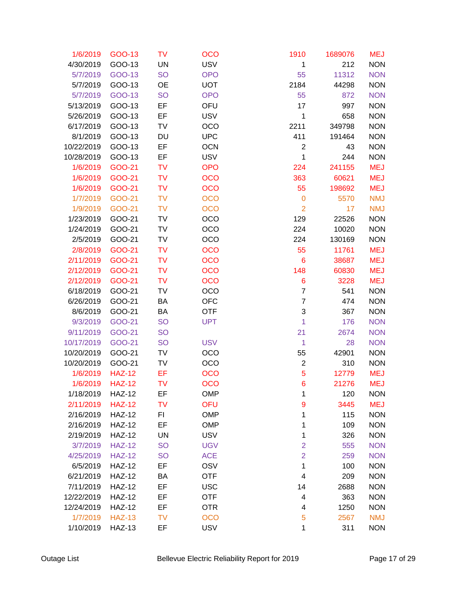| 1/6/2019        | GOO-13        | <b>TV</b> | <b>OCO</b> | 1910           | 1689076 | <b>MEJ</b> |
|-----------------|---------------|-----------|------------|----------------|---------|------------|
| 4/30/2019       | GOO-13        | <b>UN</b> | <b>USV</b> | 1              | 212     | <b>NON</b> |
| 5/7/2019        | GOO-13        | <b>SO</b> | <b>OPO</b> | 55             | 11312   | <b>NON</b> |
| 5/7/2019        | GOO-13        | OE        | <b>UOT</b> | 2184           | 44298   | <b>NON</b> |
| 5/7/2019        | GOO-13        | <b>SO</b> | <b>OPO</b> | 55             | 872     | <b>NON</b> |
| 5/13/2019       | GOO-13        | EF        | OFU        | 17             | 997     | <b>NON</b> |
| 5/26/2019       | GOO-13        | EF        | <b>USV</b> | 1              | 658     | <b>NON</b> |
| 6/17/2019       | GOO-13        | TV        | OCO        | 2211           | 349798  | <b>NON</b> |
| 8/1/2019        | GOO-13        | DU        | <b>UPC</b> | 411            | 191464  | <b>NON</b> |
| 10/22/2019      | GOO-13        | EF        | <b>OCN</b> | $\overline{2}$ | 43      | <b>NON</b> |
| 10/28/2019      | GOO-13        | EF        | <b>USV</b> | 1              | 244     | <b>NON</b> |
| 1/6/2019        | GOO-21        | <b>TV</b> | <b>OPO</b> | 224            | 241155  | <b>MEJ</b> |
| 1/6/2019        | GOO-21        | <b>TV</b> | <b>OCO</b> | 363            | 60621   | <b>MEJ</b> |
| 1/6/2019        | GOO-21        | <b>TV</b> | <b>OCO</b> | 55             | 198692  | <b>MEJ</b> |
| 1/7/2019        | GOO-21        | <b>TV</b> | <b>OCO</b> | $\mathbf 0$    | 5570    | <b>NMJ</b> |
| 1/9/2019        | GOO-21        | <b>TV</b> | <b>OCO</b> | $\overline{2}$ | 17      | <b>NMJ</b> |
| 1/23/2019       | GOO-21        | TV        | OCO        | 129            | 22526   | <b>NON</b> |
| 1/24/2019       | GOO-21        | TV        | OCO        | 224            | 10020   | <b>NON</b> |
| 2/5/2019        | GOO-21        | <b>TV</b> | OCO        | 224            | 130169  | <b>NON</b> |
| 2/8/2019        | GOO-21        | <b>TV</b> | <b>OCO</b> | 55             | 11761   | <b>MEJ</b> |
| 2/11/2019       | GOO-21        | <b>TV</b> | <b>OCO</b> | 6              | 38687   | <b>MEJ</b> |
| 2/12/2019       | GOO-21        | <b>TV</b> | <b>OCO</b> | 148            | 60830   | <b>MEJ</b> |
| 2/12/2019       | GOO-21        | <b>TV</b> | <b>OCO</b> | 6              | 3228    | <b>MEJ</b> |
| 6/18/2019       | GOO-21        | TV        | OCO        | $\overline{7}$ | 541     | <b>NON</b> |
| 6/26/2019       | GOO-21        | BA        | <b>OFC</b> | $\overline{7}$ | 474     | <b>NON</b> |
| 8/6/2019        | GOO-21        | ВA        | <b>OTF</b> | 3              | 367     | <b>NON</b> |
| 9/3/2019        | GOO-21        | <b>SO</b> | <b>UPT</b> | 1              | 176     | <b>NON</b> |
| 9/11/2019       | GOO-21        | <b>SO</b> |            | 21             | 2674    | <b>NON</b> |
| 10/17/2019      | GOO-21        | <b>SO</b> | <b>USV</b> | $\mathbf{1}$   | 28      | <b>NON</b> |
| 10/20/2019      | GOO-21        | TV        | OCO        | 55             | 42901   | <b>NON</b> |
| 10/20/2019      | GOO-21        | TV        | OCO        | $\overline{c}$ | 310     | <b>NON</b> |
| 1/6/2019        | <b>HAZ-12</b> | EF        | <b>OCO</b> | 5              | 12779   | <b>MEJ</b> |
| 1/6/2019 HAZ-12 |               | TV        | <b>OCO</b> | 6              | 21276   | MEJ        |
| 1/18/2019       | <b>HAZ-12</b> | EF        | <b>OMP</b> | 1              | 120     | <b>NON</b> |
| 2/11/2019       | <b>HAZ-12</b> | <b>TV</b> | OFU        | 9              | 3445    | <b>MEJ</b> |
| 2/16/2019       | <b>HAZ-12</b> | FI        | <b>OMP</b> | 1              | 115     | <b>NON</b> |
| 2/16/2019       | <b>HAZ-12</b> | EF        | <b>OMP</b> | 1              | 109     | <b>NON</b> |
| 2/19/2019       | <b>HAZ-12</b> | UN        | <b>USV</b> | 1              | 326     | <b>NON</b> |
| 3/7/2019        | <b>HAZ-12</b> | <b>SO</b> | <b>UGV</b> | $\overline{2}$ | 555     | <b>NON</b> |
| 4/25/2019       | <b>HAZ-12</b> | <b>SO</b> | <b>ACE</b> | $\overline{2}$ | 259     | <b>NON</b> |
| 6/5/2019        | <b>HAZ-12</b> | EF        | OSV        | 1              | 100     | <b>NON</b> |
| 6/21/2019       | <b>HAZ-12</b> | ВA        | <b>OTF</b> | 4              | 209     | <b>NON</b> |
| 7/11/2019       | <b>HAZ-12</b> | EF        | <b>USC</b> | 14             | 2688    | <b>NON</b> |
| 12/22/2019      | <b>HAZ-12</b> | EF        | <b>OTF</b> | 4              | 363     | <b>NON</b> |
| 12/24/2019      | <b>HAZ-12</b> | EF        | <b>OTR</b> | 4              | 1250    | <b>NON</b> |
| 1/7/2019        | <b>HAZ-13</b> | <b>TV</b> | <b>OCO</b> | 5              | 2567    | <b>NMJ</b> |
| 1/10/2019       | <b>HAZ-13</b> | EF        | <b>USV</b> | 1              | 311     | <b>NON</b> |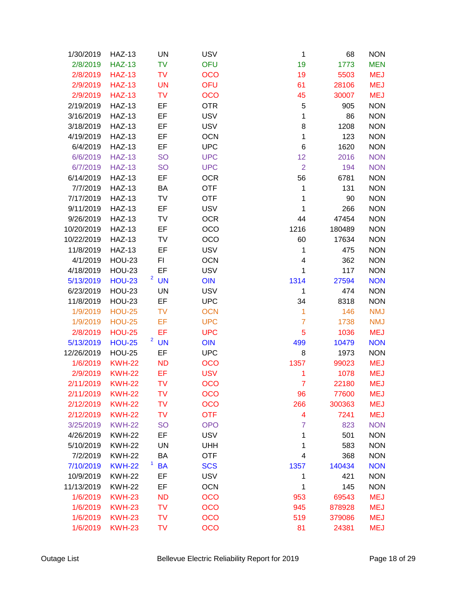| 1/30/2019        | <b>HAZ-13</b> | UN        | <b>USV</b> | 1                       | 68     | <b>NON</b> |
|------------------|---------------|-----------|------------|-------------------------|--------|------------|
| 2/8/2019         | <b>HAZ-13</b> | <b>TV</b> | OFU        | 19                      | 1773   | <b>MEN</b> |
| 2/8/2019         | <b>HAZ-13</b> | <b>TV</b> | <b>OCO</b> | 19                      | 5503   | <b>MEJ</b> |
| 2/9/2019         | <b>HAZ-13</b> | <b>UN</b> | <b>OFU</b> | 61                      | 28106  | <b>MEJ</b> |
| 2/9/2019         | <b>HAZ-13</b> | <b>TV</b> | <b>OCO</b> | 45                      | 30007  | <b>MEJ</b> |
| 2/19/2019        | <b>HAZ-13</b> | EF        | <b>OTR</b> | 5                       | 905    | <b>NON</b> |
| 3/16/2019        | <b>HAZ-13</b> | EF        | <b>USV</b> | 1                       | 86     | <b>NON</b> |
| 3/18/2019        | <b>HAZ-13</b> | EF        | <b>USV</b> | 8                       | 1208   | <b>NON</b> |
| 4/19/2019        | <b>HAZ-13</b> | EF        | <b>OCN</b> | 1                       | 123    | <b>NON</b> |
| 6/4/2019         | <b>HAZ-13</b> | EF        | <b>UPC</b> | $\,6$                   | 1620   | <b>NON</b> |
| 6/6/2019         | <b>HAZ-13</b> | <b>SO</b> | <b>UPC</b> | 12                      | 2016   | <b>NON</b> |
| 6/7/2019         | <b>HAZ-13</b> | <b>SO</b> | <b>UPC</b> | $\overline{2}$          | 194    | <b>NON</b> |
| 6/14/2019        | <b>HAZ-13</b> | EF        | <b>OCR</b> | 56                      | 6781   | <b>NON</b> |
| 7/7/2019         | <b>HAZ-13</b> | BA        | <b>OTF</b> | 1                       | 131    | <b>NON</b> |
| 7/17/2019        | <b>HAZ-13</b> | TV        | <b>OTF</b> | 1                       | 90     | <b>NON</b> |
| 9/11/2019        | <b>HAZ-13</b> | EF        | <b>USV</b> | 1                       | 266    | <b>NON</b> |
| 9/26/2019        | <b>HAZ-13</b> | TV        | <b>OCR</b> | 44                      | 47454  | <b>NON</b> |
| 10/20/2019       | <b>HAZ-13</b> | EF        | OCO        | 1216                    | 180489 | <b>NON</b> |
| 10/22/2019       | <b>HAZ-13</b> | TV        | OCO        | 60                      | 17634  | <b>NON</b> |
| 11/8/2019        | <b>HAZ-13</b> | EF        | <b>USV</b> | 1                       | 475    | <b>NON</b> |
| 4/1/2019         | <b>HOU-23</b> | FI        | <b>OCN</b> | $\overline{\mathbf{4}}$ | 362    | <b>NON</b> |
| 4/18/2019        | <b>HOU-23</b> | EF        | <b>USV</b> | 1                       | 117    | <b>NON</b> |
| 5/13/2019        | <b>HOU-23</b> | $2$ UN    | <b>OIN</b> | 1314                    | 27594  | <b>NON</b> |
| 6/23/2019        | <b>HOU-23</b> | UN        | <b>USV</b> | 1                       | 474    | <b>NON</b> |
| 11/8/2019        | <b>HOU-23</b> | EF        | <b>UPC</b> | 34                      | 8318   | <b>NON</b> |
| 1/9/2019         | <b>HOU-25</b> | <b>TV</b> | <b>OCN</b> | 1                       | 146    | <b>NMJ</b> |
| 1/9/2019         | <b>HOU-25</b> | EF        | <b>UPC</b> | $\overline{7}$          | 1738   | <b>NMJ</b> |
| 2/8/2019         | <b>HOU-25</b> | EF        | <b>UPC</b> | 5                       | 1036   | <b>MEJ</b> |
| 5/13/2019        | <b>HOU-25</b> | $2$ UN    | <b>OIN</b> | 499                     | 10479  | <b>NON</b> |
| 12/26/2019       | <b>HOU-25</b> | EF        | <b>UPC</b> | 8                       | 1973   | <b>NON</b> |
| 1/6/2019         | <b>KWH-22</b> | <b>ND</b> | <b>OCO</b> | 1357                    | 99023  | <b>MEJ</b> |
| 2/9/2019         | <b>KWH-22</b> | EF        | <b>USV</b> | 1                       | 1078   | <b>MEJ</b> |
| 2/11/2019 KWH-22 |               | TV        | <b>OCO</b> | 7                       | 22180  | MEJ        |
| 2/11/2019        | <b>KWH-22</b> | TV        | <b>OCO</b> | 96                      | 77600  | <b>MEJ</b> |
| 2/12/2019        | <b>KWH-22</b> | <b>TV</b> | <b>OCO</b> | 266                     | 300363 | <b>MEJ</b> |
| 2/12/2019        | <b>KWH-22</b> | <b>TV</b> | <b>OTF</b> | 4                       | 7241   | <b>MEJ</b> |
| 3/25/2019        | <b>KWH-22</b> | <b>SO</b> | <b>OPO</b> | $\overline{7}$          | 823    | <b>NON</b> |
| 4/26/2019        | <b>KWH-22</b> | EF        | <b>USV</b> | 1                       | 501    | <b>NON</b> |
| 5/10/2019        | <b>KWH-22</b> | UN        | <b>UHH</b> | 1                       | 583    | <b>NON</b> |
| 7/2/2019         | <b>KWH-22</b> | BA        | <b>OTF</b> | 4                       | 368    | <b>NON</b> |
| 7/10/2019        | <b>KWH-22</b> | <b>BA</b> | <b>SCS</b> | 1357                    | 140434 | <b>NON</b> |
| 10/9/2019        | <b>KWH-22</b> | EF        | <b>USV</b> | 1                       | 421    | <b>NON</b> |
| 11/13/2019       | <b>KWH-22</b> | EF        | <b>OCN</b> | 1                       | 145    | <b>NON</b> |
| 1/6/2019         | <b>KWH-23</b> | <b>ND</b> | <b>OCO</b> | 953                     | 69543  | <b>MEJ</b> |
| 1/6/2019         | <b>KWH-23</b> | <b>TV</b> | <b>OCO</b> | 945                     | 878928 | <b>MEJ</b> |
| 1/6/2019         | <b>KWH-23</b> | <b>TV</b> | <b>OCO</b> | 519                     | 379086 | <b>MEJ</b> |
| 1/6/2019         | <b>KWH-23</b> | <b>TV</b> | <b>OCO</b> | 81                      | 24381  | <b>MEJ</b> |
|                  |               |           |            |                         |        |            |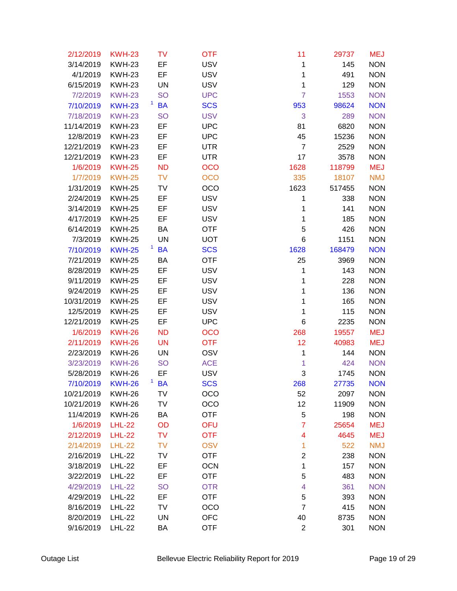| 2/12/2019        | <b>KWH-23</b> | TV                        | <b>OTF</b> | 11                  | 29737  | <b>MEJ</b> |
|------------------|---------------|---------------------------|------------|---------------------|--------|------------|
| 3/14/2019        | <b>KWH-23</b> | EF                        | <b>USV</b> | 1                   | 145    | <b>NON</b> |
| 4/1/2019         | <b>KWH-23</b> | EF                        | <b>USV</b> | 1                   | 491    | <b>NON</b> |
| 6/15/2019        | <b>KWH-23</b> | UN                        | <b>USV</b> | $\mathbf 1$         | 129    | <b>NON</b> |
| 7/2/2019         | <b>KWH-23</b> | <b>SO</b>                 | <b>UPC</b> | $\overline{7}$      | 1553   | <b>NON</b> |
| 7/10/2019        | <b>KWH-23</b> | $\mathbf{1}$<br><b>BA</b> | <b>SCS</b> | 953                 | 98624  | <b>NON</b> |
| 7/18/2019        | <b>KWH-23</b> | <b>SO</b>                 | <b>USV</b> | 3                   | 289    | <b>NON</b> |
| 11/14/2019       | <b>KWH-23</b> | EF                        | <b>UPC</b> | 81                  | 6820   | <b>NON</b> |
| 12/8/2019        | <b>KWH-23</b> | EF                        | <b>UPC</b> | 45                  | 15236  | <b>NON</b> |
| 12/21/2019       | <b>KWH-23</b> | EF                        | <b>UTR</b> | $\overline{7}$      | 2529   | <b>NON</b> |
| 12/21/2019       | <b>KWH-23</b> | EF                        | <b>UTR</b> | 17                  | 3578   | <b>NON</b> |
| 1/6/2019         | <b>KWH-25</b> | <b>ND</b>                 | OCO        | 1628                | 118799 | <b>MEJ</b> |
| 1/7/2019         | <b>KWH-25</b> | <b>TV</b>                 | <b>OCO</b> | 335                 | 18107  | <b>NMJ</b> |
| 1/31/2019        | <b>KWH-25</b> | TV                        | OCO        | 1623                | 517455 | <b>NON</b> |
| 2/24/2019        | <b>KWH-25</b> | EF                        | <b>USV</b> | 1                   | 338    | <b>NON</b> |
| 3/14/2019        | <b>KWH-25</b> | EF                        | <b>USV</b> | 1                   | 141    | <b>NON</b> |
| 4/17/2019        | <b>KWH-25</b> | EF                        | <b>USV</b> | 1                   | 185    | <b>NON</b> |
| 6/14/2019        | <b>KWH-25</b> | BA                        | <b>OTF</b> | 5                   | 426    | <b>NON</b> |
| 7/3/2019         | <b>KWH-25</b> | <b>UN</b>                 | <b>UOT</b> | 6                   | 1151   | <b>NON</b> |
| 7/10/2019        | <b>KWH-25</b> | <b>BA</b>                 | <b>SCS</b> | 1628                | 168479 | <b>NON</b> |
| 7/21/2019        | <b>KWH-25</b> | BA                        | <b>OTF</b> | 25                  | 3969   | <b>NON</b> |
| 8/28/2019        | <b>KWH-25</b> | EF                        | <b>USV</b> | $\mathbf 1$         | 143    | <b>NON</b> |
| 9/11/2019        | <b>KWH-25</b> | EF                        | <b>USV</b> | 1                   | 228    | <b>NON</b> |
| 9/24/2019        | <b>KWH-25</b> | EF                        | <b>USV</b> | 1                   | 136    | <b>NON</b> |
| 10/31/2019       | <b>KWH-25</b> | EF                        | <b>USV</b> | 1                   | 165    | <b>NON</b> |
| 12/5/2019        | <b>KWH-25</b> | EF                        | <b>USV</b> | 1                   | 115    | <b>NON</b> |
| 12/21/2019       | <b>KWH-25</b> | EF                        | <b>UPC</b> | 6                   | 2235   | <b>NON</b> |
| 1/6/2019         | <b>KWH-26</b> | <b>ND</b>                 | OCO        | 268                 | 19557  | <b>MEJ</b> |
| 2/11/2019        | <b>KWH-26</b> | <b>UN</b>                 | <b>OTF</b> | 12                  | 40983  | <b>MEJ</b> |
| 2/23/2019        | <b>KWH-26</b> | UN                        | OSV        | 1                   | 144    | <b>NON</b> |
| 3/23/2019        | <b>KWH-26</b> | <b>SO</b>                 | <b>ACE</b> | 1                   | 424    | <b>NON</b> |
| 5/28/2019        | <b>KWH-26</b> | EF                        | <b>USV</b> | 3                   | 1745   | <b>NON</b> |
| 7/10/2019 KWH-26 |               | $1$ BA                    | <b>SCS</b> | 268                 | 27735  | <b>NON</b> |
| 10/21/2019       | <b>KWH-26</b> | TV                        | OCO        | 52                  | 2097   | <b>NON</b> |
| 10/21/2019       | <b>KWH-26</b> | TV                        | OCO        | 12                  | 11909  | <b>NON</b> |
| 11/4/2019        | <b>KWH-26</b> | BA                        | <b>OTF</b> | 5                   | 198    | <b>NON</b> |
| 1/6/2019         | <b>LHL-22</b> | OD                        | OFU        | $\overline{7}$      | 25654  | <b>MEJ</b> |
| 2/12/2019        | <b>LHL-22</b> | <b>TV</b>                 | <b>OTF</b> | 4                   | 4645   | <b>MEJ</b> |
| 2/14/2019        | <b>LHL-22</b> | <b>TV</b>                 | <b>OSV</b> | 1                   | 522    | <b>NMJ</b> |
| 2/16/2019        | <b>LHL-22</b> | TV                        | <b>OTF</b> | $\overline{2}$      | 238    | <b>NON</b> |
| 3/18/2019        | <b>LHL-22</b> | EF                        | <b>OCN</b> | $\mathbf 1$         | 157    | <b>NON</b> |
| 3/22/2019        | <b>LHL-22</b> | EF                        | <b>OTF</b> | 5                   | 483    | <b>NON</b> |
| 4/29/2019        | <b>LHL-22</b> | <b>SO</b>                 | <b>OTR</b> | 4                   | 361    | <b>NON</b> |
| 4/29/2019        | <b>LHL-22</b> | EF                        | <b>OTF</b> | 5<br>$\overline{7}$ | 393    | <b>NON</b> |
| 8/16/2019        | <b>LHL-22</b> | TV                        | OCO        |                     | 415    | <b>NON</b> |
| 8/20/2019        | <b>LHL-22</b> | <b>UN</b>                 | <b>OFC</b> | 40                  | 8735   | <b>NON</b> |
| 9/16/2019        | <b>LHL-22</b> | BA                        | <b>OTF</b> | $\overline{2}$      | 301    | <b>NON</b> |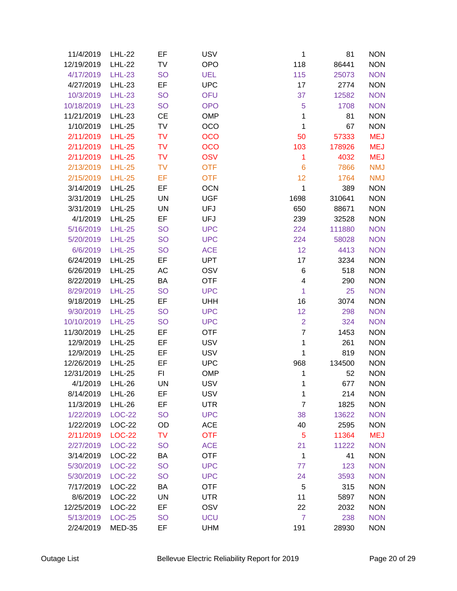| 11/4/2019       | <b>LHL-22</b> | EF        | <b>USV</b> | 1                       | 81     | <b>NON</b> |
|-----------------|---------------|-----------|------------|-------------------------|--------|------------|
| 12/19/2019      | <b>LHL-22</b> | TV        | <b>OPO</b> | 118                     | 86441  | <b>NON</b> |
| 4/17/2019       | <b>LHL-23</b> | <b>SO</b> | <b>UEL</b> | 115                     | 25073  | <b>NON</b> |
| 4/27/2019       | <b>LHL-23</b> | EF        | <b>UPC</b> | 17                      | 2774   | <b>NON</b> |
| 10/3/2019       | <b>LHL-23</b> | <b>SO</b> | <b>OFU</b> | 37                      | 12582  | <b>NON</b> |
| 10/18/2019      | <b>LHL-23</b> | <b>SO</b> | <b>OPO</b> | 5                       | 1708   | <b>NON</b> |
| 11/21/2019      | <b>LHL-23</b> | <b>CE</b> | <b>OMP</b> | 1                       | 81     | <b>NON</b> |
| 1/10/2019       | <b>LHL-25</b> | <b>TV</b> | OCO        | 1                       | 67     | <b>NON</b> |
| 2/11/2019       | <b>LHL-25</b> | <b>TV</b> | <b>OCO</b> | 50                      | 57333  | <b>MEJ</b> |
| 2/11/2019       | <b>LHL-25</b> | <b>TV</b> | <b>OCO</b> | 103                     | 178926 | <b>MEJ</b> |
| 2/11/2019       | <b>LHL-25</b> | <b>TV</b> | <b>OSV</b> | 1                       | 4032   | <b>MEJ</b> |
| 2/13/2019       | <b>LHL-25</b> | <b>TV</b> | <b>OTF</b> | $6\phantom{1}6$         | 7866   | <b>NMJ</b> |
| 2/15/2019       | <b>LHL-25</b> | EF        | <b>OTF</b> | 12                      | 1764   | <b>NMJ</b> |
| 3/14/2019       | <b>LHL-25</b> | EF        | <b>OCN</b> | $\mathbf 1$             | 389    | <b>NON</b> |
| 3/31/2019       | <b>LHL-25</b> | <b>UN</b> | <b>UGF</b> | 1698                    | 310641 | <b>NON</b> |
| 3/31/2019       | <b>LHL-25</b> | UN        | UFJ        | 650                     | 88671  | <b>NON</b> |
| 4/1/2019        | <b>LHL-25</b> | EF        | <b>UFJ</b> | 239                     | 32528  | <b>NON</b> |
| 5/16/2019       | <b>LHL-25</b> | <b>SO</b> | <b>UPC</b> | 224                     | 111880 | <b>NON</b> |
| 5/20/2019       | <b>LHL-25</b> | <b>SO</b> | <b>UPC</b> | 224                     | 58028  | <b>NON</b> |
| 6/6/2019        | <b>LHL-25</b> | <b>SO</b> | <b>ACE</b> | 12                      | 4413   | <b>NON</b> |
| 6/24/2019       | <b>LHL-25</b> | EF        | <b>UPT</b> | 17                      | 3234   | <b>NON</b> |
| 6/26/2019       | <b>LHL-25</b> | AC        | OSV        | 6                       | 518    | <b>NON</b> |
| 8/22/2019       | <b>LHL-25</b> | BA        | <b>OTF</b> | $\overline{\mathbf{4}}$ | 290    | <b>NON</b> |
| 8/29/2019       | <b>LHL-25</b> | <b>SO</b> | <b>UPC</b> | 1                       | 25     | <b>NON</b> |
| 9/18/2019       | <b>LHL-25</b> | EF        | <b>UHH</b> | 16                      | 3074   | <b>NON</b> |
| 9/30/2019       | <b>LHL-25</b> | <b>SO</b> | <b>UPC</b> | 12                      | 298    | <b>NON</b> |
| 10/10/2019      | <b>LHL-25</b> | <b>SO</b> | <b>UPC</b> | $\overline{2}$          | 324    | <b>NON</b> |
| 11/30/2019      | <b>LHL-25</b> | EF        | <b>OTF</b> | $\overline{7}$          | 1453   | <b>NON</b> |
| 12/9/2019       | <b>LHL-25</b> | EF        | <b>USV</b> | $\mathbf 1$             | 261    | <b>NON</b> |
| 12/9/2019       | <b>LHL-25</b> | EF        | <b>USV</b> | 1                       | 819    | <b>NON</b> |
| 12/26/2019      | <b>LHL-25</b> | EF        | <b>UPC</b> | 968                     | 134500 | <b>NON</b> |
| 12/31/2019      | <b>LHL-25</b> | FI        | <b>OMP</b> | 1                       | 52     | <b>NON</b> |
| 4/1/2019 LHL-26 |               | UN        | <b>USV</b> | 1                       | 677    | <b>NON</b> |
| 8/14/2019       | <b>LHL-26</b> | EF        | <b>USV</b> | 1                       | 214    | <b>NON</b> |
| 11/3/2019       | <b>LHL-26</b> | EF        | <b>UTR</b> | $\overline{7}$          | 1825   | <b>NON</b> |
| 1/22/2019       | <b>LOC-22</b> | <b>SO</b> | <b>UPC</b> | 38                      | 13622  | <b>NON</b> |
| 1/22/2019       | <b>LOC-22</b> | OD        | <b>ACE</b> | 40                      | 2595   | <b>NON</b> |
| 2/11/2019       | <b>LOC-22</b> | <b>TV</b> | <b>OTF</b> | 5                       | 11364  | <b>MEJ</b> |
| 2/27/2019       | <b>LOC-22</b> | <b>SO</b> | <b>ACE</b> | 21                      | 11222  | <b>NON</b> |
| 3/14/2019       | LOC-22        | BA        | <b>OTF</b> | $\mathbf{1}$            | 41     | <b>NON</b> |
| 5/30/2019       | <b>LOC-22</b> | <b>SO</b> | <b>UPC</b> | 77                      | 123    | <b>NON</b> |
| 5/30/2019       | <b>LOC-22</b> | <b>SO</b> | <b>UPC</b> | 24                      | 3593   | <b>NON</b> |
| 7/17/2019       | <b>LOC-22</b> | BA        | <b>OTF</b> | 5                       | 315    | <b>NON</b> |
| 8/6/2019        | <b>LOC-22</b> | UN        | <b>UTR</b> | 11                      | 5897   | <b>NON</b> |
| 12/25/2019      | LOC-22        | EF        | OSV        | 22                      | 2032   | <b>NON</b> |
| 5/13/2019       | <b>LOC-25</b> | <b>SO</b> | <b>UCU</b> | $\overline{7}$          | 238    | <b>NON</b> |
| 2/24/2019       | <b>MED-35</b> | EF        | <b>UHM</b> | 191                     | 28930  | <b>NON</b> |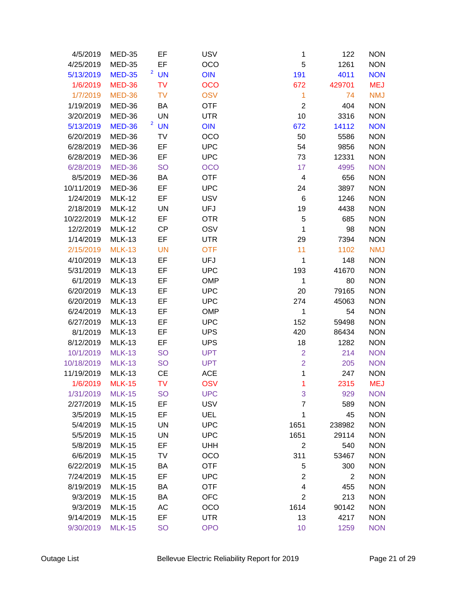| 4/5/2019        | <b>MED-35</b> | EF        | <b>USV</b> | 1                       | 122            | <b>NON</b> |
|-----------------|---------------|-----------|------------|-------------------------|----------------|------------|
| 4/25/2019       | <b>MED-35</b> | EF        | OCO        | 5                       | 1261           | <b>NON</b> |
| 5/13/2019       | <b>MED-35</b> | $2$ UN    | <b>OIN</b> | 191                     | 4011           | <b>NON</b> |
| 1/6/2019        | <b>MED-36</b> | <b>TV</b> | <b>OCO</b> | 672                     | 429701         | <b>MEJ</b> |
| 1/7/2019        | <b>MED-36</b> | <b>TV</b> | <b>OSV</b> | 1                       | 74             | <b>NMJ</b> |
| 1/19/2019       | MED-36        | ΒA        | <b>OTF</b> | $\mathbf 2$             | 404            | <b>NON</b> |
| 3/20/2019       | MED-36        | UN        | <b>UTR</b> | 10                      | 3316           | <b>NON</b> |
| 5/13/2019       | <b>MED-36</b> | $2$ UN    | <b>OIN</b> | 672                     | 14112          | <b>NON</b> |
| 6/20/2019       | MED-36        | TV        | OCO        | 50                      | 5586           | <b>NON</b> |
| 6/28/2019       | MED-36        | EF        | <b>UPC</b> | 54                      | 9856           | <b>NON</b> |
| 6/28/2019       | MED-36        | EF        | <b>UPC</b> | 73                      | 12331          | <b>NON</b> |
| 6/28/2019       | <b>MED-36</b> | <b>SO</b> | <b>OCO</b> | 17                      | 4995           | <b>NON</b> |
| 8/5/2019        | MED-36        | BA        | <b>OTF</b> | $\overline{\mathbf{4}}$ | 656            | <b>NON</b> |
| 10/11/2019      | MED-36        | EF        | <b>UPC</b> | 24                      | 3897           | <b>NON</b> |
| 1/24/2019       | <b>MLK-12</b> | EF        | <b>USV</b> | 6                       | 1246           | <b>NON</b> |
| 2/18/2019       | <b>MLK-12</b> | UN        | <b>UFJ</b> | 19                      | 4438           | <b>NON</b> |
| 10/22/2019      | <b>MLK-12</b> | EF        | <b>OTR</b> | 5                       | 685            | <b>NON</b> |
| 12/2/2019       | <b>MLK-12</b> | <b>CP</b> | OSV        | $\mathbf 1$             | 98             | <b>NON</b> |
| 1/14/2019       | <b>MLK-13</b> | EF        | <b>UTR</b> | 29                      | 7394           | <b>NON</b> |
| 2/15/2019       | <b>MLK-13</b> | <b>UN</b> | <b>OTF</b> | 11                      | 1102           | <b>NMJ</b> |
| 4/10/2019       | <b>MLK-13</b> | EF        | <b>UFJ</b> | $\mathbf 1$             | 148            | <b>NON</b> |
| 5/31/2019       | <b>MLK-13</b> | EF        | <b>UPC</b> | 193                     | 41670          | <b>NON</b> |
| 6/1/2019        | <b>MLK-13</b> | EF        | <b>OMP</b> | $\mathbf 1$             | 80             | <b>NON</b> |
| 6/20/2019       | <b>MLK-13</b> | EF        | <b>UPC</b> | 20                      | 79165          | <b>NON</b> |
| 6/20/2019       | <b>MLK-13</b> | EF        | <b>UPC</b> | 274                     | 45063          | <b>NON</b> |
| 6/24/2019       | <b>MLK-13</b> | EF        | <b>OMP</b> | 1                       | 54             | <b>NON</b> |
| 6/27/2019       | <b>MLK-13</b> | EF        | <b>UPC</b> | 152                     | 59498          | <b>NON</b> |
| 8/1/2019        | <b>MLK-13</b> | EF        | <b>UPS</b> | 420                     | 86434          | <b>NON</b> |
| 8/12/2019       | <b>MLK-13</b> | EF        | <b>UPS</b> | 18                      | 1282           | <b>NON</b> |
| 10/1/2019       | <b>MLK-13</b> | <b>SO</b> | <b>UPT</b> | $\overline{2}$          | 214            | <b>NON</b> |
| 10/18/2019      | <b>MLK-13</b> | <b>SO</b> | <b>UPT</b> | $\overline{2}$          | 205            | <b>NON</b> |
| 11/19/2019      | <b>MLK-13</b> | <b>CE</b> | <b>ACE</b> | 1                       | 247            | <b>NON</b> |
| 1/6/2019 MLK-15 |               | TV        | <b>OSV</b> | 1                       | 2315           | MEJ        |
| 1/31/2019       | <b>MLK-15</b> | <b>SO</b> | <b>UPC</b> | 3                       | 929            | <b>NON</b> |
| 2/27/2019       | <b>MLK-15</b> | EF        | <b>USV</b> | $\overline{7}$          | 589            | <b>NON</b> |
| 3/5/2019        | <b>MLK-15</b> | EF        | UEL        | 1                       | 45             | <b>NON</b> |
| 5/4/2019        | <b>MLK-15</b> | UN        | <b>UPC</b> | 1651                    | 238982         | <b>NON</b> |
| 5/5/2019        | <b>MLK-15</b> | <b>UN</b> | <b>UPC</b> | 1651                    | 29114          | <b>NON</b> |
| 5/8/2019        | <b>MLK-15</b> | EF        | <b>UHH</b> | 2                       | 540            | <b>NON</b> |
| 6/6/2019        | <b>MLK-15</b> | TV        | OCO        | 311                     | 53467          | <b>NON</b> |
| 6/22/2019       | <b>MLK-15</b> | BA        | <b>OTF</b> | 5                       | 300            | <b>NON</b> |
| 7/24/2019       | <b>MLK-15</b> | EF        | <b>UPC</b> | $\overline{2}$          | $\overline{2}$ | <b>NON</b> |
| 8/19/2019       | <b>MLK-15</b> | BA        | <b>OTF</b> | 4                       | 455            | <b>NON</b> |
| 9/3/2019        | <b>MLK-15</b> | ΒA        | <b>OFC</b> | $\overline{2}$          | 213            | <b>NON</b> |
| 9/3/2019        | <b>MLK-15</b> | AC        | OCO        | 1614                    | 90142          | <b>NON</b> |
| 9/14/2019       | <b>MLK-15</b> | EF        | <b>UTR</b> | 13                      | 4217           | <b>NON</b> |
| 9/30/2019       | <b>MLK-15</b> | <b>SO</b> | <b>OPO</b> | 10                      | 1259           | <b>NON</b> |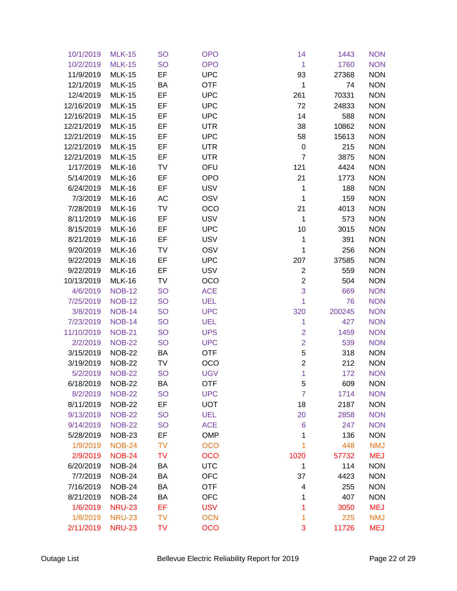| 10/1/2019  | <b>MLK-15</b> | <b>SO</b> | <b>OPO</b> | 14                      | 1443   | <b>NON</b> |
|------------|---------------|-----------|------------|-------------------------|--------|------------|
| 10/2/2019  | <b>MLK-15</b> | <b>SO</b> | <b>OPO</b> | 1                       | 1760   | <b>NON</b> |
| 11/9/2019  | <b>MLK-15</b> | EF        | <b>UPC</b> | 93                      | 27368  | <b>NON</b> |
| 12/1/2019  | <b>MLK-15</b> | ВA        | <b>OTF</b> | 1                       | 74     | <b>NON</b> |
| 12/4/2019  | <b>MLK-15</b> | EF        | <b>UPC</b> | 261                     | 70331  | <b>NON</b> |
| 12/16/2019 | <b>MLK-15</b> | EF        | <b>UPC</b> | 72                      | 24833  | <b>NON</b> |
| 12/16/2019 | <b>MLK-15</b> | EF        | <b>UPC</b> | 14                      | 588    | <b>NON</b> |
| 12/21/2019 | <b>MLK-15</b> | EF        | <b>UTR</b> | 38                      | 10862  | <b>NON</b> |
| 12/21/2019 | <b>MLK-15</b> | EF        | <b>UPC</b> | 58                      | 15613  | <b>NON</b> |
| 12/21/2019 | <b>MLK-15</b> | EF        | <b>UTR</b> | $\boldsymbol{0}$        | 215    | <b>NON</b> |
| 12/21/2019 | <b>MLK-15</b> | EF        | <b>UTR</b> | $\overline{7}$          | 3875   | <b>NON</b> |
| 1/17/2019  | <b>MLK-16</b> | TV        | OFU        | 121                     | 4424   | <b>NON</b> |
| 5/14/2019  | <b>MLK-16</b> | EF        | <b>OPO</b> | 21                      | 1773   | <b>NON</b> |
| 6/24/2019  | <b>MLK-16</b> | EF        | <b>USV</b> | 1                       | 188    | <b>NON</b> |
| 7/3/2019   | <b>MLK-16</b> | AC        | OSV        | 1                       | 159    | <b>NON</b> |
| 7/28/2019  | <b>MLK-16</b> | TV        | OCO        | 21                      | 4013   | <b>NON</b> |
| 8/11/2019  | <b>MLK-16</b> | EF        | <b>USV</b> | 1                       | 573    | <b>NON</b> |
| 8/15/2019  | <b>MLK-16</b> | EF        | <b>UPC</b> | 10                      | 3015   | <b>NON</b> |
| 8/21/2019  | <b>MLK-16</b> | EF        | <b>USV</b> | 1                       | 391    | <b>NON</b> |
| 9/20/2019  | <b>MLK-16</b> | TV        | OSV        | $\mathbf{1}$            | 256    | <b>NON</b> |
| 9/22/2019  | <b>MLK-16</b> | EF        | <b>UPC</b> | 207                     | 37585  | <b>NON</b> |
| 9/22/2019  | <b>MLK-16</b> | EF        | <b>USV</b> | $\overline{2}$          | 559    | <b>NON</b> |
| 10/13/2019 | <b>MLK-16</b> | TV        | <b>OCO</b> | $\overline{c}$          | 504    | <b>NON</b> |
| 4/6/2019   | <b>NOB-12</b> | <b>SO</b> | <b>ACE</b> | 3                       | 669    | <b>NON</b> |
| 7/25/2019  | <b>NOB-12</b> | <b>SO</b> | <b>UEL</b> | 1                       | 76     | <b>NON</b> |
| 3/8/2019   | <b>NOB-14</b> | <b>SO</b> | <b>UPC</b> | 320                     | 200245 | <b>NON</b> |
| 7/23/2019  | <b>NOB-14</b> | <b>SO</b> | <b>UEL</b> | 1                       | 427    | <b>NON</b> |
| 11/10/2019 | <b>NOB-21</b> | <b>SO</b> | <b>UPS</b> | $\overline{2}$          | 1459   | <b>NON</b> |
| 2/2/2019   | <b>NOB-22</b> | <b>SO</b> | <b>UPC</b> | $\overline{2}$          | 539    | <b>NON</b> |
| 3/15/2019  | <b>NOB-22</b> | BA        | <b>OTF</b> | 5                       | 318    | <b>NON</b> |
| 3/19/2019  | <b>NOB-22</b> | TV        | OCO        | $\overline{\mathbf{c}}$ | 212    | <b>NON</b> |
| 5/2/2019   | <b>NOB-22</b> | <b>SO</b> | <b>UGV</b> | 1                       | 172    | <b>NON</b> |
| 6/18/2019  | <b>NOB-22</b> | BA        | <b>OTF</b> | 5                       | 609    | <b>NON</b> |
| 8/2/2019   | <b>NOB-22</b> | <b>SO</b> | <b>UPC</b> | $\overline{7}$          | 1714   | <b>NON</b> |
| 8/11/2019  | <b>NOB-22</b> | EF        | <b>UOT</b> | 18                      | 2187   | <b>NON</b> |
| 9/13/2019  | <b>NOB-22</b> | <b>SO</b> | <b>UEL</b> | 20                      | 2858   | <b>NON</b> |
| 9/14/2019  | <b>NOB-22</b> | <b>SO</b> | <b>ACE</b> | 6                       | 247    | <b>NON</b> |
| 5/28/2019  | <b>NOB-23</b> | EF        | <b>OMP</b> | 1                       | 136    | <b>NON</b> |
| 1/9/2019   | <b>NOB-24</b> | <b>TV</b> | <b>OCO</b> | 1                       | 448    | <b>NMJ</b> |
| 2/9/2019   | <b>NOB-24</b> | <b>TV</b> | <b>OCO</b> | 1020                    | 57732  | <b>MEJ</b> |
| 6/20/2019  | <b>NOB-24</b> | ВA        | <b>UTC</b> | 1                       | 114    | <b>NON</b> |
| 7/7/2019   | <b>NOB-24</b> | BA        | <b>OFC</b> | 37                      | 4423   | <b>NON</b> |
| 7/16/2019  | <b>NOB-24</b> | BA        | <b>OTF</b> | 4                       | 255    | <b>NON</b> |
| 8/21/2019  | <b>NOB-24</b> | BA        | <b>OFC</b> | 1                       | 407    | <b>NON</b> |
| 1/6/2019   | <b>NRU-23</b> | EF        | <b>USV</b> | 1                       | 3050   | <b>MEJ</b> |
| 1/8/2019   | <b>NRU-23</b> | <b>TV</b> | <b>OCN</b> | 1                       | 225    | <b>NMJ</b> |
| 2/11/2019  | <b>NRU-23</b> | TV        | <b>OCO</b> | 3                       | 11726  | <b>MEJ</b> |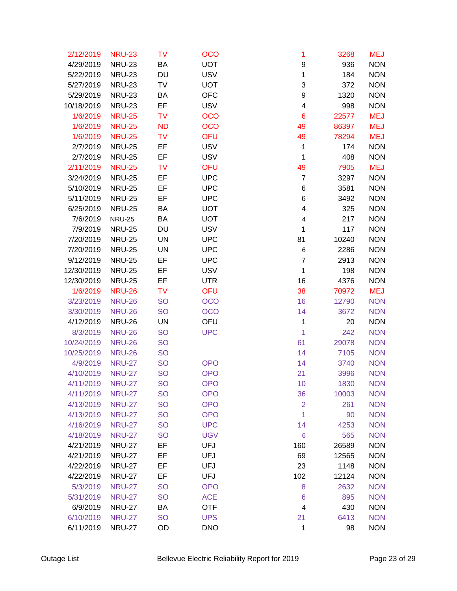| 2/12/2019        | <b>NRU-23</b> | TV        | <b>OCO</b> | 1                       | 3268  | <b>MEJ</b> |
|------------------|---------------|-----------|------------|-------------------------|-------|------------|
| 4/29/2019        | <b>NRU-23</b> | BA        | <b>UOT</b> | 9                       | 936   | <b>NON</b> |
| 5/22/2019        | <b>NRU-23</b> | DU        | <b>USV</b> | 1                       | 184   | <b>NON</b> |
| 5/27/2019        | <b>NRU-23</b> | TV        | <b>UOT</b> | 3                       | 372   | <b>NON</b> |
| 5/29/2019        | <b>NRU-23</b> | ВA        | <b>OFC</b> | 9                       | 1320  | <b>NON</b> |
| 10/18/2019       | <b>NRU-23</b> | EF        | <b>USV</b> | $\overline{\mathbf{4}}$ | 998   | <b>NON</b> |
| 1/6/2019         | <b>NRU-25</b> | TV        | <b>OCO</b> | $6\phantom{1}6$         | 22577 | <b>MEJ</b> |
| 1/6/2019         | <b>NRU-25</b> | <b>ND</b> | <b>OCO</b> | 49                      | 86397 | <b>MEJ</b> |
| 1/6/2019         | <b>NRU-25</b> | <b>TV</b> | OFU        | 49                      | 78294 | <b>MEJ</b> |
| 2/7/2019         | <b>NRU-25</b> | EF        | <b>USV</b> | 1                       | 174   | <b>NON</b> |
| 2/7/2019         | <b>NRU-25</b> | EF        | <b>USV</b> | 1                       | 408   | <b>NON</b> |
| 2/11/2019        | <b>NRU-25</b> | <b>TV</b> | <b>OFU</b> | 49                      | 7905  | <b>MEJ</b> |
| 3/24/2019        | <b>NRU-25</b> | EF        | <b>UPC</b> | $\overline{7}$          | 3297  | <b>NON</b> |
| 5/10/2019        | <b>NRU-25</b> | EF        | <b>UPC</b> | 6                       | 3581  | <b>NON</b> |
| 5/11/2019        | <b>NRU-25</b> | EF        | <b>UPC</b> | 6                       | 3492  | <b>NON</b> |
| 6/25/2019        | <b>NRU-25</b> | BA        | <b>UOT</b> | 4                       | 325   | <b>NON</b> |
| 7/6/2019         | <b>NRU-25</b> | ВA        | <b>UOT</b> | 4                       | 217   | <b>NON</b> |
| 7/9/2019         | <b>NRU-25</b> | DU        | <b>USV</b> | 1                       | 117   | <b>NON</b> |
| 7/20/2019        | <b>NRU-25</b> | <b>UN</b> | <b>UPC</b> | 81                      | 10240 | <b>NON</b> |
| 7/20/2019        | <b>NRU-25</b> | UN        | <b>UPC</b> | $\,6$                   | 2286  | <b>NON</b> |
| 9/12/2019        | <b>NRU-25</b> | EF        | <b>UPC</b> | $\overline{7}$          | 2913  | <b>NON</b> |
| 12/30/2019       | <b>NRU-25</b> | EF        | <b>USV</b> | 1                       | 198   | <b>NON</b> |
| 12/30/2019       | <b>NRU-25</b> | EF        | <b>UTR</b> | 16                      | 4376  | <b>NON</b> |
| 1/6/2019         | <b>NRU-26</b> | <b>TV</b> | <b>OFU</b> | 38                      | 70972 | <b>MEJ</b> |
| 3/23/2019        | <b>NRU-26</b> | <b>SO</b> | <b>OCO</b> | 16                      | 12790 | <b>NON</b> |
| 3/30/2019        | <b>NRU-26</b> | <b>SO</b> | <b>OCO</b> | 14                      | 3672  | <b>NON</b> |
| 4/12/2019        | <b>NRU-26</b> | UN        | OFU        | 1                       | 20    | <b>NON</b> |
| 8/3/2019         | <b>NRU-26</b> | <b>SO</b> | <b>UPC</b> | 1                       | 242   | <b>NON</b> |
| 10/24/2019       | <b>NRU-26</b> | <b>SO</b> |            | 61                      | 29078 | <b>NON</b> |
| 10/25/2019       | <b>NRU-26</b> | <b>SO</b> |            | 14                      | 7105  | <b>NON</b> |
| 4/9/2019         | <b>NRU-27</b> | <b>SO</b> | <b>OPO</b> | 14                      | 3740  | <b>NON</b> |
| 4/10/2019        | <b>NRU-27</b> | <b>SO</b> | <b>OPO</b> | 21                      | 3996  | <b>NON</b> |
| 4/11/2019 NRU-27 |               | <b>SO</b> | <b>OPO</b> | 10                      | 1830  | <b>NON</b> |
| 4/11/2019        | <b>NRU-27</b> | <b>SO</b> | <b>OPO</b> | 36                      | 10003 | <b>NON</b> |
| 4/13/2019        | <b>NRU-27</b> | <b>SO</b> | <b>OPO</b> | $\overline{2}$          | 261   | <b>NON</b> |
| 4/13/2019        | <b>NRU-27</b> | <b>SO</b> | <b>OPO</b> | 1                       | 90    | <b>NON</b> |
| 4/16/2019        | <b>NRU-27</b> | <b>SO</b> | <b>UPC</b> | 14                      | 4253  | <b>NON</b> |
| 4/18/2019        | <b>NRU-27</b> | <b>SO</b> | <b>UGV</b> | $\,$ 6 $\,$             | 565   | <b>NON</b> |
| 4/21/2019        | <b>NRU-27</b> | EF        | UFJ        | 160                     | 26589 | <b>NON</b> |
| 4/21/2019        | <b>NRU-27</b> | EF        | <b>UFJ</b> | 69                      | 12565 | <b>NON</b> |
| 4/22/2019        | <b>NRU-27</b> | EF        | <b>UFJ</b> | 23                      | 1148  | <b>NON</b> |
| 4/22/2019        | <b>NRU-27</b> | EF        | <b>UFJ</b> | 102                     | 12124 | <b>NON</b> |
| 5/3/2019         | <b>NRU-27</b> | <b>SO</b> | <b>OPO</b> | 8                       | 2632  | <b>NON</b> |
| 5/31/2019        | <b>NRU-27</b> | <b>SO</b> | <b>ACE</b> | 6                       | 895   | <b>NON</b> |
| 6/9/2019         | <b>NRU-27</b> | BA        | <b>OTF</b> | $\overline{\mathbf{4}}$ | 430   | <b>NON</b> |
| 6/10/2019        | <b>NRU-27</b> | <b>SO</b> | <b>UPS</b> | 21                      | 6413  | <b>NON</b> |
| 6/11/2019        | <b>NRU-27</b> | OD        | <b>DNO</b> | 1                       | 98    | <b>NON</b> |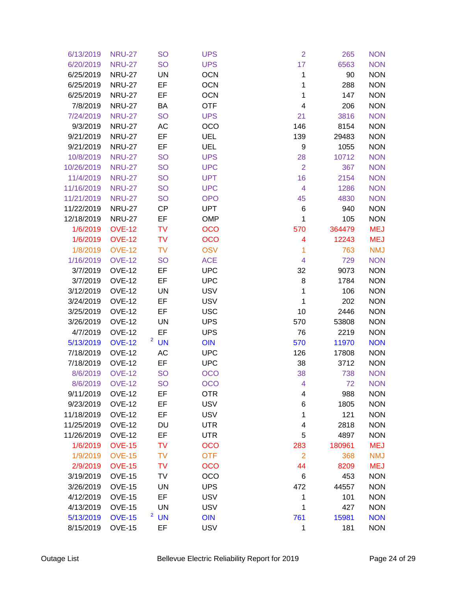| 6/13/2019       | <b>NRU-27</b> | <b>SO</b>                   | <b>UPS</b> | $\overline{2}$          | 265    | <b>NON</b> |
|-----------------|---------------|-----------------------------|------------|-------------------------|--------|------------|
| 6/20/2019       | <b>NRU-27</b> | <b>SO</b>                   | <b>UPS</b> | 17                      | 6563   | <b>NON</b> |
| 6/25/2019       | <b>NRU-27</b> | UN                          | <b>OCN</b> | 1                       | 90     | <b>NON</b> |
| 6/25/2019       | <b>NRU-27</b> | EF                          | <b>OCN</b> | 1                       | 288    | <b>NON</b> |
| 6/25/2019       | <b>NRU-27</b> | EF                          | <b>OCN</b> | 1                       | 147    | <b>NON</b> |
| 7/8/2019        | <b>NRU-27</b> | BA                          | <b>OTF</b> | $\overline{\mathbf{4}}$ | 206    | <b>NON</b> |
| 7/24/2019       | <b>NRU-27</b> | <b>SO</b>                   | <b>UPS</b> | 21                      | 3816   | <b>NON</b> |
| 9/3/2019        | <b>NRU-27</b> | AC                          | <b>OCO</b> | 146                     | 8154   | <b>NON</b> |
| 9/21/2019       | <b>NRU-27</b> | EF                          | <b>UEL</b> | 139                     | 29483  | <b>NON</b> |
| 9/21/2019       | <b>NRU-27</b> | EF                          | <b>UEL</b> | 9                       | 1055   | <b>NON</b> |
| 10/8/2019       | <b>NRU-27</b> | <b>SO</b>                   | <b>UPS</b> | 28                      | 10712  | <b>NON</b> |
| 10/26/2019      | <b>NRU-27</b> | <b>SO</b>                   | <b>UPC</b> | $\overline{2}$          | 367    | <b>NON</b> |
| 11/4/2019       | <b>NRU-27</b> | <b>SO</b>                   | <b>UPT</b> | 16                      | 2154   | <b>NON</b> |
| 11/16/2019      | <b>NRU-27</b> | <b>SO</b>                   | <b>UPC</b> | $\overline{4}$          | 1286   | <b>NON</b> |
| 11/21/2019      | <b>NRU-27</b> | <b>SO</b>                   | <b>OPO</b> | 45                      | 4830   | <b>NON</b> |
| 11/22/2019      | <b>NRU-27</b> | <b>CP</b>                   | <b>UPT</b> | 6                       | 940    | <b>NON</b> |
| 12/18/2019      | <b>NRU-27</b> | EF                          | <b>OMP</b> | 1                       | 105    | <b>NON</b> |
| 1/6/2019        | <b>OVE-12</b> | <b>TV</b>                   | <b>OCO</b> | 570                     | 364479 | <b>MEJ</b> |
| 1/6/2019        | <b>OVE-12</b> | <b>TV</b>                   | <b>OCO</b> | 4                       | 12243  | <b>MEJ</b> |
| 1/8/2019        | <b>OVE-12</b> | <b>TV</b>                   | <b>OSV</b> | 1                       | 763    | <b>NMJ</b> |
| 1/16/2019       | <b>OVE-12</b> | <b>SO</b>                   | <b>ACE</b> | $\overline{\mathbf{4}}$ | 729    | <b>NON</b> |
| 3/7/2019        | <b>OVE-12</b> | EF                          | <b>UPC</b> | 32                      | 9073   | <b>NON</b> |
| 3/7/2019        | <b>OVE-12</b> | EF                          | <b>UPC</b> | 8                       | 1784   | <b>NON</b> |
| 3/12/2019       | <b>OVE-12</b> | <b>UN</b>                   | <b>USV</b> | 1                       | 106    | <b>NON</b> |
| 3/24/2019       | <b>OVE-12</b> | EF                          | <b>USV</b> | 1                       | 202    | <b>NON</b> |
| 3/25/2019       | <b>OVE-12</b> | EF                          | <b>USC</b> | 10                      | 2446   | <b>NON</b> |
| 3/26/2019       | <b>OVE-12</b> | <b>UN</b>                   | <b>UPS</b> | 570                     | 53808  | <b>NON</b> |
| 4/7/2019        | <b>OVE-12</b> | EF                          | <b>UPS</b> | 76                      | 2219   | <b>NON</b> |
| 5/13/2019       | <b>OVE-12</b> | $2$ UN                      | <b>OIN</b> | 570                     | 11970  | <b>NON</b> |
| 7/18/2019       | <b>OVE-12</b> | AC                          | <b>UPC</b> | 126                     | 17808  | <b>NON</b> |
| 7/18/2019       | <b>OVE-12</b> | EF                          | <b>UPC</b> | 38                      | 3712   | <b>NON</b> |
| 8/6/2019        | <b>OVE-12</b> | <b>SO</b>                   | <b>OCO</b> | 38                      | 738    | <b>NON</b> |
| 8/6/2019 OVE-12 |               | <b>SO</b>                   | <b>OCO</b> | $\overline{4}$          | 72     | <b>NON</b> |
| 9/11/2019       | <b>OVE-12</b> | EF                          | <b>OTR</b> | 4                       | 988    | <b>NON</b> |
| 9/23/2019       | <b>OVE-12</b> | EF                          | <b>USV</b> | 6                       | 1805   | <b>NON</b> |
| 11/18/2019      | <b>OVE-12</b> | EF                          | <b>USV</b> | 1                       | 121    | <b>NON</b> |
| 11/25/2019      | <b>OVE-12</b> | DU                          | <b>UTR</b> | 4                       | 2818   | <b>NON</b> |
| 11/26/2019      | <b>OVE-12</b> | EF                          | <b>UTR</b> | 5                       | 4897   | <b>NON</b> |
| 1/6/2019        | <b>OVE-15</b> | <b>TV</b>                   | <b>OCO</b> | 283                     | 180961 | <b>MEJ</b> |
| 1/9/2019        | <b>OVE-15</b> | <b>TV</b>                   | <b>OTF</b> | $\overline{2}$          | 368    | <b>NMJ</b> |
| 2/9/2019        | <b>OVE-15</b> | <b>TV</b>                   | <b>OCO</b> | 44                      | 8209   | <b>MEJ</b> |
| 3/19/2019       | <b>OVE-15</b> | TV                          | OCO        | 6                       | 453    | <b>NON</b> |
| 3/26/2019       | <b>OVE-15</b> | <b>UN</b>                   | <b>UPS</b> | 472                     | 44557  | <b>NON</b> |
| 4/12/2019       | <b>OVE-15</b> | EF                          | <b>USV</b> | 1                       | 101    | <b>NON</b> |
| 4/13/2019       | <b>OVE-15</b> | <b>UN</b>                   | <b>USV</b> | 1                       | 427    | <b>NON</b> |
| 5/13/2019       | <b>OVE-15</b> | $\overline{a}$<br><b>UN</b> | <b>OIN</b> | 761                     | 15981  | <b>NON</b> |
| 8/15/2019       | <b>OVE-15</b> | EF                          | <b>USV</b> | 1                       | 181    | <b>NON</b> |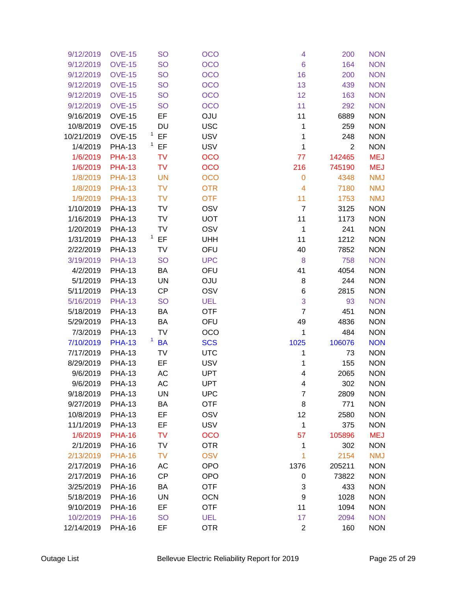| 9/12/2019  | <b>OVE-15</b> | <b>SO</b>                 | <b>OCO</b> | 4              | 200            | <b>NON</b> |
|------------|---------------|---------------------------|------------|----------------|----------------|------------|
| 9/12/2019  | <b>OVE-15</b> | <b>SO</b>                 | <b>OCO</b> | 6              | 164            | <b>NON</b> |
| 9/12/2019  | <b>OVE-15</b> | <b>SO</b>                 | OCO        | 16             | 200            | <b>NON</b> |
| 9/12/2019  | <b>OVE-15</b> | <b>SO</b>                 | <b>OCO</b> | 13             | 439            | <b>NON</b> |
| 9/12/2019  | <b>OVE-15</b> | <b>SO</b>                 | <b>OCO</b> | 12             | 163            | <b>NON</b> |
| 9/12/2019  | <b>OVE-15</b> | <b>SO</b>                 | <b>OCO</b> | 11             | 292            | <b>NON</b> |
| 9/16/2019  | <b>OVE-15</b> | EF                        | <b>OJU</b> | 11             | 6889           | <b>NON</b> |
| 10/8/2019  | <b>OVE-15</b> | DU                        | <b>USC</b> | 1              | 259            | <b>NON</b> |
| 10/21/2019 | <b>OVE-15</b> | $1$ EF                    | <b>USV</b> | 1              | 248            | <b>NON</b> |
| 1/4/2019   | <b>PHA-13</b> | $1$ EF                    | <b>USV</b> | 1              | $\overline{2}$ | <b>NON</b> |
| 1/6/2019   | <b>PHA-13</b> | TV                        | <b>OCO</b> | 77             | 142465         | <b>MEJ</b> |
| 1/6/2019   | <b>PHA-13</b> | <b>TV</b>                 | <b>OCO</b> | 216            | 745190         | <b>MEJ</b> |
| 1/8/2019   | <b>PHA-13</b> | <b>UN</b>                 | <b>OCO</b> | $\mathbf 0$    | 4348           | <b>NMJ</b> |
| 1/8/2019   | <b>PHA-13</b> | <b>TV</b>                 | <b>OTR</b> | $\overline{4}$ | 7180           | <b>NMJ</b> |
| 1/9/2019   | <b>PHA-13</b> | <b>TV</b>                 | <b>OTF</b> | 11             | 1753           | <b>NMJ</b> |
| 1/10/2019  | <b>PHA-13</b> | TV                        | OSV        | $\overline{7}$ | 3125           | <b>NON</b> |
| 1/16/2019  | <b>PHA-13</b> | TV                        | <b>UOT</b> | 11             | 1173           | <b>NON</b> |
| 1/20/2019  | <b>PHA-13</b> | TV                        | OSV        | 1              | 241            | <b>NON</b> |
| 1/31/2019  | <b>PHA-13</b> | $1$ EF                    | <b>UHH</b> | 11             | 1212           | <b>NON</b> |
| 2/22/2019  | <b>PHA-13</b> | TV                        | OFU        | 40             | 7852           | <b>NON</b> |
| 3/19/2019  | <b>PHA-13</b> | <b>SO</b>                 | <b>UPC</b> | 8              | 758            | <b>NON</b> |
| 4/2/2019   | <b>PHA-13</b> | BA                        | OFU        | 41             | 4054           | <b>NON</b> |
| 5/1/2019   | <b>PHA-13</b> | UN                        | <b>OJU</b> | 8              | 244            | <b>NON</b> |
| 5/11/2019  | <b>PHA-13</b> | <b>CP</b>                 | OSV        | 6              | 2815           | <b>NON</b> |
| 5/16/2019  | <b>PHA-13</b> | <b>SO</b>                 | <b>UEL</b> | 3              | 93             | <b>NON</b> |
| 5/18/2019  | <b>PHA-13</b> | BA                        | <b>OTF</b> | $\overline{7}$ | 451            | <b>NON</b> |
| 5/29/2019  | <b>PHA-13</b> | BA                        | OFU        | 49             | 4836           | <b>NON</b> |
| 7/3/2019   | <b>PHA-13</b> | TV                        | OCO        | 1              | 484            | <b>NON</b> |
| 7/10/2019  | <b>PHA-13</b> | $\mathbf{1}$<br><b>BA</b> | <b>SCS</b> | 1025           | 106076         | <b>NON</b> |
| 7/17/2019  | <b>PHA-13</b> | TV                        | <b>UTC</b> | 1              | 73             | <b>NON</b> |
| 8/29/2019  | <b>PHA-13</b> | EF                        | <b>USV</b> | 1              | 155            | <b>NON</b> |
| 9/6/2019   | <b>PHA-13</b> | AC                        | <b>UPT</b> | 4              | 2065           | <b>NON</b> |
| 9/6/2019   | <b>PHA-13</b> | AC                        | <b>UPT</b> | 4              | 302            | <b>NON</b> |
| 9/18/2019  | <b>PHA-13</b> | UN                        | <b>UPC</b> | 7              | 2809           | <b>NON</b> |
| 9/27/2019  | <b>PHA-13</b> | BA                        | <b>OTF</b> | 8              | 771            | <b>NON</b> |
| 10/8/2019  | <b>PHA-13</b> | EF                        | OSV        | 12             | 2580           | <b>NON</b> |
| 11/1/2019  | <b>PHA-13</b> | EF                        | <b>USV</b> | 1              | 375            | <b>NON</b> |
| 1/6/2019   | <b>PHA-16</b> | TV                        | <b>OCO</b> | 57             | 105896         | <b>MEJ</b> |
| 2/1/2019   | <b>PHA-16</b> | TV                        | <b>OTR</b> | 1              | 302            | <b>NON</b> |
| 2/13/2019  | <b>PHA-16</b> | <b>TV</b>                 | <b>OSV</b> | 1              | 2154           | <b>NMJ</b> |
| 2/17/2019  | <b>PHA-16</b> | AC                        | <b>OPO</b> | 1376           | 205211         | <b>NON</b> |
| 2/17/2019  | <b>PHA-16</b> | <b>CP</b>                 | <b>OPO</b> | 0              | 73822          | <b>NON</b> |
| 3/25/2019  | <b>PHA-16</b> | BA                        | <b>OTF</b> | 3              | 433            | <b>NON</b> |
| 5/18/2019  | <b>PHA-16</b> | UN                        | <b>OCN</b> | 9              | 1028           | <b>NON</b> |
| 9/10/2019  | <b>PHA-16</b> | EF                        | <b>OTF</b> | 11             | 1094           | <b>NON</b> |
| 10/2/2019  | <b>PHA-16</b> | <b>SO</b>                 | <b>UEL</b> | 17             | 2094           | <b>NON</b> |
| 12/14/2019 | <b>PHA-16</b> | EF                        | <b>OTR</b> | $\overline{2}$ | 160            | <b>NON</b> |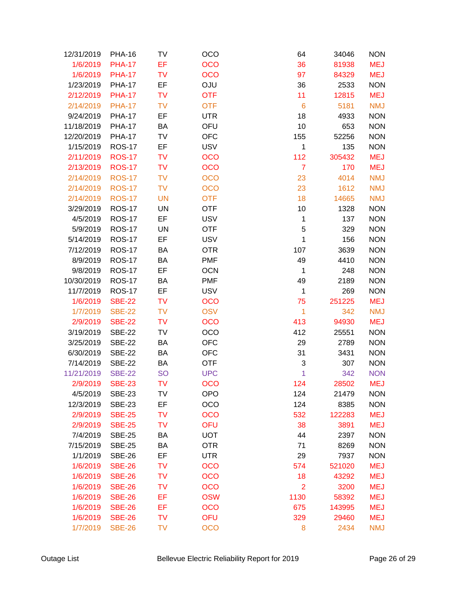| 12/31/2019      | <b>PHA-16</b> | TV        | <b>OCO</b> | 64              | 34046  | <b>NON</b> |
|-----------------|---------------|-----------|------------|-----------------|--------|------------|
| 1/6/2019        | <b>PHA-17</b> | EF        | <b>OCO</b> | 36              | 81938  | <b>MEJ</b> |
| 1/6/2019        | <b>PHA-17</b> | <b>TV</b> | <b>OCO</b> | 97              | 84329  | <b>MEJ</b> |
| 1/23/2019       | <b>PHA-17</b> | EF        | <b>OJU</b> | 36              | 2533   | <b>NON</b> |
| 2/12/2019       | <b>PHA-17</b> | <b>TV</b> | <b>OTF</b> | 11              | 12815  | <b>MEJ</b> |
| 2/14/2019       | <b>PHA-17</b> | <b>TV</b> | <b>OTF</b> | $6\phantom{1}6$ | 5181   | <b>NMJ</b> |
| 9/24/2019       | <b>PHA-17</b> | EF        | <b>UTR</b> | 18              | 4933   | <b>NON</b> |
| 11/18/2019      | <b>PHA-17</b> | BA        | OFU        | 10              | 653    | <b>NON</b> |
| 12/20/2019      | <b>PHA-17</b> | TV        | <b>OFC</b> | 155             | 52256  | <b>NON</b> |
| 1/15/2019       | <b>ROS-17</b> | EF        | <b>USV</b> | 1               | 135    | <b>NON</b> |
| 2/11/2019       | <b>ROS-17</b> | <b>TV</b> | <b>OCO</b> | 112             | 305432 | <b>MEJ</b> |
| 2/13/2019       | <b>ROS-17</b> | <b>TV</b> | <b>OCO</b> | $\overline{7}$  | 170    | <b>MEJ</b> |
| 2/14/2019       | <b>ROS-17</b> | <b>TV</b> | <b>OCO</b> | 23              | 4014   | <b>NMJ</b> |
| 2/14/2019       | <b>ROS-17</b> | <b>TV</b> | <b>OCO</b> | 23              | 1612   | <b>NMJ</b> |
| 2/14/2019       | <b>ROS-17</b> | <b>UN</b> | <b>OTF</b> | 18              | 14665  | <b>NMJ</b> |
| 3/29/2019       | <b>ROS-17</b> | <b>UN</b> | <b>OTF</b> | 10              | 1328   | <b>NON</b> |
| 4/5/2019        | <b>ROS-17</b> | EF        | <b>USV</b> | 1               | 137    | <b>NON</b> |
| 5/9/2019        | <b>ROS-17</b> | <b>UN</b> | <b>OTF</b> | 5               | 329    | <b>NON</b> |
| 5/14/2019       | <b>ROS-17</b> | EF        | <b>USV</b> | 1               | 156    | <b>NON</b> |
| 7/12/2019       | <b>ROS-17</b> | BA        | <b>OTR</b> | 107             | 3639   | <b>NON</b> |
| 8/9/2019        | <b>ROS-17</b> | BA        | <b>PMF</b> | 49              | 4410   | <b>NON</b> |
| 9/8/2019        | <b>ROS-17</b> | EF        | <b>OCN</b> | 1               | 248    | <b>NON</b> |
| 10/30/2019      | <b>ROS-17</b> | BA        | <b>PMF</b> | 49              | 2189   | <b>NON</b> |
| 11/7/2019       | <b>ROS-17</b> | EF        | <b>USV</b> | 1               | 269    | <b>NON</b> |
| 1/6/2019        | <b>SBE-22</b> | <b>TV</b> | <b>OCO</b> | 75              | 251225 | <b>MEJ</b> |
| 1/7/2019        | <b>SBE-22</b> | <b>TV</b> | <b>OSV</b> | 1               | 342    | <b>NMJ</b> |
| 2/9/2019        | <b>SBE-22</b> | <b>TV</b> | <b>OCO</b> | 413             | 94930  | <b>MEJ</b> |
| 3/19/2019       | <b>SBE-22</b> | TV        | OCO        | 412             | 25551  | <b>NON</b> |
| 3/25/2019       | <b>SBE-22</b> | BA        | <b>OFC</b> | 29              | 2789   | <b>NON</b> |
| 6/30/2019       | <b>SBE-22</b> | BA        | <b>OFC</b> | 31              | 3431   | <b>NON</b> |
| 7/14/2019       | <b>SBE-22</b> | BA        | <b>OTF</b> | 3               | 307    | <b>NON</b> |
| 11/21/2019      | <b>SBE-22</b> | <b>SO</b> | <b>UPC</b> | 1               | 342    | <b>NON</b> |
| 2/9/2019 SBE-23 |               | TV        | <b>OCO</b> | 124             | 28502  | MEJ        |
| 4/5/2019        | <b>SBE-23</b> | TV        | <b>OPO</b> | 124             | 21479  | <b>NON</b> |
| 12/3/2019       | <b>SBE-23</b> | EF        | OCO        | 124             | 8385   | <b>NON</b> |
| 2/9/2019        | <b>SBE-25</b> | <b>TV</b> | <b>OCO</b> | 532             | 122283 | <b>MEJ</b> |
| 2/9/2019        | <b>SBE-25</b> | <b>TV</b> | <b>OFU</b> | 38              | 3891   | <b>MEJ</b> |
| 7/4/2019        | <b>SBE-25</b> | BA        | <b>UOT</b> | 44              | 2397   | <b>NON</b> |
| 7/15/2019       | <b>SBE-25</b> | BA        | <b>OTR</b> | 71              | 8269   | <b>NON</b> |
| 1/1/2019        | <b>SBE-26</b> | EF        | <b>UTR</b> | 29              | 7937   | <b>NON</b> |
| 1/6/2019        | <b>SBE-26</b> | <b>TV</b> | <b>OCO</b> | 574             | 521020 | <b>MEJ</b> |
| 1/6/2019        | <b>SBE-26</b> | <b>TV</b> | <b>OCO</b> | 18              | 43292  | <b>MEJ</b> |
| 1/6/2019        | <b>SBE-26</b> | <b>TV</b> | <b>OCO</b> | $\overline{2}$  | 3200   | <b>MEJ</b> |
| 1/6/2019        | <b>SBE-26</b> | EF        | <b>OSW</b> | 1130            | 58392  | <b>MEJ</b> |
| 1/6/2019        | <b>SBE-26</b> | EF        | <b>OCO</b> | 675             | 143995 | <b>MEJ</b> |
| 1/6/2019        | <b>SBE-26</b> | <b>TV</b> | OFU        | 329             | 29460  | <b>MEJ</b> |
| 1/7/2019        | <b>SBE-26</b> | <b>TV</b> | <b>OCO</b> | 8               | 2434   | <b>NMJ</b> |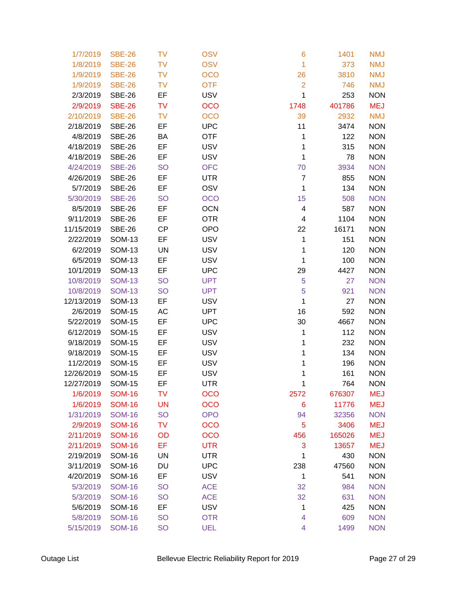| 1/7/2019   | <b>SBE-26</b> | <b>TV</b> | <b>OSV</b> | 6              | 1401   | <b>NMJ</b> |
|------------|---------------|-----------|------------|----------------|--------|------------|
| 1/8/2019   | <b>SBE-26</b> | <b>TV</b> | <b>OSV</b> | 1              | 373    | <b>NMJ</b> |
| 1/9/2019   | <b>SBE-26</b> | TV        | <b>OCO</b> | 26             | 3810   | <b>NMJ</b> |
| 1/9/2019   | <b>SBE-26</b> | <b>TV</b> | <b>OTF</b> | $\overline{2}$ | 746    | <b>NMJ</b> |
| 2/3/2019   | <b>SBE-26</b> | EF        | <b>USV</b> | 1              | 253    | <b>NON</b> |
| 2/9/2019   | <b>SBE-26</b> | <b>TV</b> | <b>OCO</b> | 1748           | 401786 | <b>MEJ</b> |
| 2/10/2019  | <b>SBE-26</b> | TV        | <b>OCO</b> | 39             | 2932   | <b>NMJ</b> |
| 2/18/2019  | <b>SBE-26</b> | EF        | <b>UPC</b> | 11             | 3474   | <b>NON</b> |
| 4/8/2019   | <b>SBE-26</b> | BA        | <b>OTF</b> | 1              | 122    | <b>NON</b> |
| 4/18/2019  | <b>SBE-26</b> | EF        | <b>USV</b> | 1              | 315    | <b>NON</b> |
| 4/18/2019  | <b>SBE-26</b> | EF        | <b>USV</b> | 1              | 78     | <b>NON</b> |
| 4/24/2019  | <b>SBE-26</b> | <b>SO</b> | <b>OFC</b> | 70             | 3934   | <b>NON</b> |
| 4/26/2019  | <b>SBE-26</b> | EF        | <b>UTR</b> | $\overline{7}$ | 855    | <b>NON</b> |
| 5/7/2019   | <b>SBE-26</b> | EF        | OSV        | 1              | 134    | <b>NON</b> |
| 5/30/2019  | <b>SBE-26</b> | <b>SO</b> | <b>OCO</b> | 15             | 508    | <b>NON</b> |
| 8/5/2019   | <b>SBE-26</b> | EF        | <b>OCN</b> | 4              | 587    | <b>NON</b> |
| 9/11/2019  | <b>SBE-26</b> | EF        | <b>OTR</b> | 4              | 1104   | <b>NON</b> |
| 11/15/2019 | <b>SBE-26</b> | <b>CP</b> | <b>OPO</b> | 22             | 16171  | <b>NON</b> |
| 2/22/2019  | <b>SOM-13</b> | EF        | <b>USV</b> | 1              | 151    | <b>NON</b> |
| 6/2/2019   | <b>SOM-13</b> | <b>UN</b> | <b>USV</b> | 1              | 120    | <b>NON</b> |
| 6/5/2019   | <b>SOM-13</b> | EF        | <b>USV</b> | 1              | 100    | <b>NON</b> |
| 10/1/2019  | <b>SOM-13</b> | EF        | <b>UPC</b> | 29             | 4427   | <b>NON</b> |
| 10/8/2019  | <b>SOM-13</b> | <b>SO</b> | <b>UPT</b> | 5              | 27     | <b>NON</b> |
| 10/8/2019  | <b>SOM-13</b> | <b>SO</b> | <b>UPT</b> | 5              | 921    | <b>NON</b> |
| 12/13/2019 | <b>SOM-13</b> | EF        | <b>USV</b> | 1              | 27     | <b>NON</b> |
| 2/6/2019   | <b>SOM-15</b> | AC        | <b>UPT</b> | 16             | 592    | <b>NON</b> |
| 5/22/2019  | <b>SOM-15</b> | EF        | <b>UPC</b> | 30             | 4667   | <b>NON</b> |
| 6/12/2019  | <b>SOM-15</b> | EF        | <b>USV</b> | 1              | 112    | <b>NON</b> |
| 9/18/2019  | <b>SOM-15</b> | EF        | <b>USV</b> | 1              | 232    | <b>NON</b> |
| 9/18/2019  | <b>SOM-15</b> | EF        | <b>USV</b> | 1              | 134    | <b>NON</b> |
| 11/2/2019  | <b>SOM-15</b> | EF        | <b>USV</b> | 1              | 196    | <b>NON</b> |
| 12/26/2019 | <b>SOM-15</b> | EF        | <b>USV</b> | 1              | 161    | <b>NON</b> |
| 12/27/2019 | <b>SOM-15</b> | EF        | <b>UTR</b> | 1              | 764    | <b>NON</b> |
| 1/6/2019   | <b>SOM-16</b> | <b>TV</b> | <b>OCO</b> | 2572           | 676307 | <b>MEJ</b> |
| 1/6/2019   | <b>SOM-16</b> | <b>UN</b> | <b>OCO</b> | 6              | 11776  | <b>MEJ</b> |
| 1/31/2019  | <b>SOM-16</b> | <b>SO</b> | <b>OPO</b> | 94             | 32356  | <b>NON</b> |
| 2/9/2019   | <b>SOM-16</b> | TV        | <b>OCO</b> | 5              | 3406   | <b>MEJ</b> |
| 2/11/2019  | <b>SOM-16</b> | OD        | <b>OCO</b> | 456            | 165026 | <b>MEJ</b> |
| 2/11/2019  | <b>SOM-16</b> | EF        | <b>UTR</b> | 3              | 13657  | <b>MEJ</b> |
| 2/19/2019  | <b>SOM-16</b> | UN        | <b>UTR</b> | 1              | 430    | <b>NON</b> |
| 3/11/2019  | <b>SOM-16</b> | DU        | <b>UPC</b> | 238            | 47560  | <b>NON</b> |
| 4/20/2019  | <b>SOM-16</b> | EF        | <b>USV</b> | 1              | 541    | <b>NON</b> |
| 5/3/2019   | <b>SOM-16</b> | <b>SO</b> | <b>ACE</b> | 32             | 984    | <b>NON</b> |
| 5/3/2019   | <b>SOM-16</b> | <b>SO</b> | <b>ACE</b> | 32             | 631    | <b>NON</b> |
| 5/6/2019   | <b>SOM-16</b> | EF        | <b>USV</b> | 1              | 425    | <b>NON</b> |
| 5/8/2019   | <b>SOM-16</b> | <b>SO</b> | <b>OTR</b> | 4              | 609    | <b>NON</b> |
| 5/15/2019  | <b>SOM-16</b> | <b>SO</b> | <b>UEL</b> | 4              | 1499   | <b>NON</b> |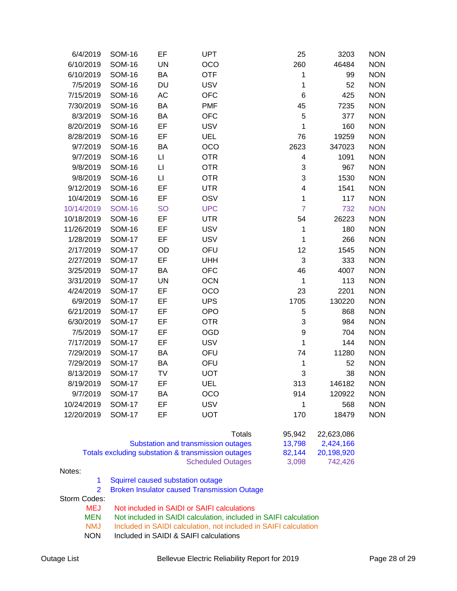| 6/4/2019   | <b>SOM-16</b> | EF        | <b>UPT</b> | 25                      | 3203   | <b>NON</b> |
|------------|---------------|-----------|------------|-------------------------|--------|------------|
| 6/10/2019  | <b>SOM-16</b> | <b>UN</b> | OCO        | 260                     | 46484  | <b>NON</b> |
| 6/10/2019  | <b>SOM-16</b> | BA        | <b>OTF</b> | 1                       | 99     | <b>NON</b> |
| 7/5/2019   | <b>SOM-16</b> | DU        | <b>USV</b> | 1                       | 52     | <b>NON</b> |
| 7/15/2019  | <b>SOM-16</b> | AC        | <b>OFC</b> | 6                       | 425    | <b>NON</b> |
| 7/30/2019  | <b>SOM-16</b> | BA        | <b>PMF</b> | 45                      | 7235   | <b>NON</b> |
| 8/3/2019   | <b>SOM-16</b> | BA        | <b>OFC</b> | 5                       | 377    | <b>NON</b> |
| 8/20/2019  | <b>SOM-16</b> | EF        | <b>USV</b> | $\mathbf{1}$            | 160    | <b>NON</b> |
| 8/28/2019  | <b>SOM-16</b> | EF        | <b>UEL</b> | 76                      | 19259  | <b>NON</b> |
| 9/7/2019   | <b>SOM-16</b> | BA        | OCO        | 2623                    | 347023 | <b>NON</b> |
| 9/7/2019   | <b>SOM-16</b> | П         | <b>OTR</b> | 4                       | 1091   | <b>NON</b> |
| 9/8/2019   | <b>SOM-16</b> | $\sqcup$  | <b>OTR</b> | 3                       | 967    | <b>NON</b> |
| 9/8/2019   | <b>SOM-16</b> | $\sqcup$  | <b>OTR</b> | 3                       | 1530   | <b>NON</b> |
| 9/12/2019  | <b>SOM-16</b> | EF        | <b>UTR</b> | $\overline{\mathbf{4}}$ | 1541   | <b>NON</b> |
| 10/4/2019  | <b>SOM-16</b> | EF        | OSV        | $\mathbf{1}$            | 117    | <b>NON</b> |
| 10/14/2019 | <b>SOM-16</b> | <b>SO</b> | <b>UPC</b> | $\overline{7}$          | 732    | <b>NON</b> |
| 10/18/2019 | <b>SOM-16</b> | EF        | <b>UTR</b> | 54                      | 26223  | <b>NON</b> |
| 11/26/2019 | <b>SOM-16</b> | EF        | <b>USV</b> | $\mathbf 1$             | 180    | <b>NON</b> |
| 1/28/2019  | <b>SOM-17</b> | EF        | <b>USV</b> | $\mathbf{1}$            | 266    | <b>NON</b> |
| 2/17/2019  | <b>SOM-17</b> | OD        | OFU        | 12                      | 1545   | <b>NON</b> |
| 2/27/2019  | <b>SOM-17</b> | EF        | <b>UHH</b> | 3                       | 333    | <b>NON</b> |
| 3/25/2019  | <b>SOM-17</b> | BA        | <b>OFC</b> | 46                      | 4007   | <b>NON</b> |
| 3/31/2019  | <b>SOM-17</b> | <b>UN</b> | <b>OCN</b> | $\mathbf 1$             | 113    | <b>NON</b> |
| 4/24/2019  | <b>SOM-17</b> | EF        | OCO        | 23                      | 2201   | <b>NON</b> |
| 6/9/2019   | <b>SOM-17</b> | EF        | <b>UPS</b> | 1705                    | 130220 | <b>NON</b> |
| 6/21/2019  | <b>SOM-17</b> | EF        | <b>OPO</b> | 5                       | 868    | <b>NON</b> |
| 6/30/2019  | <b>SOM-17</b> | EF        | <b>OTR</b> | 3                       | 984    | <b>NON</b> |
| 7/5/2019   | <b>SOM-17</b> | EF        | <b>OGD</b> | $\boldsymbol{9}$        | 704    | <b>NON</b> |
| 7/17/2019  | <b>SOM-17</b> | EF        | <b>USV</b> | $\mathbf{1}$            | 144    | <b>NON</b> |
| 7/29/2019  | <b>SOM-17</b> | BA        | OFU        | 74                      | 11280  | <b>NON</b> |
| 7/29/2019  | <b>SOM-17</b> | BA        | OFU        | $\mathbf 1$             | 52     | <b>NON</b> |
| 8/13/2019  | <b>SOM-17</b> | TV        | <b>UOT</b> | 3                       | 38     | <b>NON</b> |
| 8/19/2019  | <b>SOM-17</b> | EF        | <b>UEL</b> | 313                     | 146182 | <b>NON</b> |
| 9/7/2019   | <b>SOM-17</b> | BA        | <b>OCO</b> | 914                     | 120922 | <b>NON</b> |
| 10/24/2019 | <b>SOM-17</b> | EF        | <b>USV</b> | $\mathbf 1$             | 568    | <b>NON</b> |
| 12/20/2019 | <b>SOM-17</b> | EF        | <b>UOT</b> | 170                     | 18479  | <b>NON</b> |
|            |               |           |            |                         |        |            |

| Totals                                             | 95.942 | 22.623.086 |
|----------------------------------------------------|--------|------------|
| Substation and transmission outages                | 13.798 | 2.424.166  |
| Totals excluding substation & transmission outages | 82.144 | 20.198.920 |
| <b>Scheduled Outages</b>                           | 3.098  | 742.426    |

Notes:

- 1 Squirrel caused substation outage
- 2 Broken Insulator caused Transmission Outage

Storm Codes:<br>MEJ

- 
- MEJ Not included in SAIDI or SAIFI calculations<br>MEN Not included in SAIDI calculation, included i MEN Not included in SAIDI calculation, included in SAIFI calculation<br>NMJ Included in SAIDI calculation, not included in SAIFI calculation
	- Included in SAIDI calculation, not included in SAIFI calculation
- NON Included in SAIDI & SAIFI calculations